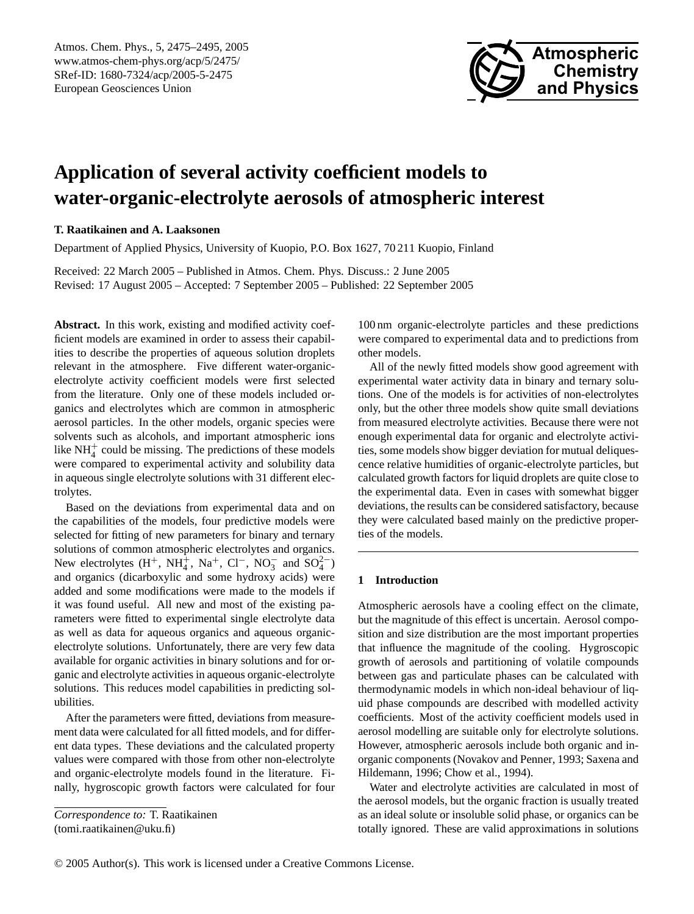

# **Application of several activity coefficient models to water-organic-electrolyte aerosols of atmospheric interest**

# **T. Raatikainen and A. Laaksonen**

Department of Applied Physics, University of Kuopio, P.O. Box 1627, 70 211 Kuopio, Finland

Received: 22 March 2005 – Published in Atmos. Chem. Phys. Discuss.: 2 June 2005 Revised: 17 August 2005 – Accepted: 7 September 2005 – Published: 22 September 2005

**Abstract.** In this work, existing and modified activity coefficient models are examined in order to assess their capabilities to describe the properties of aqueous solution droplets relevant in the atmosphere. Five different water-organicelectrolyte activity coefficient models were first selected from the literature. Only one of these models included organics and electrolytes which are common in atmospheric aerosol particles. In the other models, organic species were solvents such as alcohols, and important atmospheric ions like  $NH<sub>4</sub><sup>+</sup>$  could be missing. The predictions of these models were compared to experimental activity and solubility data in aqueous single electrolyte solutions with 31 different electrolytes.

Based on the deviations from experimental data and on the capabilities of the models, four predictive models were selected for fitting of new parameters for binary and ternary solutions of common atmospheric electrolytes and organics. New electrolytes  $(H^+$ ,  $NH_4^+$ ,  $Na^+$ ,  $Cl^-$ ,  $NO_3^-$  and  $SO_4^{2-}$ ) and organics (dicarboxylic and some hydroxy acids) were added and some modifications were made to the models if it was found useful. All new and most of the existing parameters were fitted to experimental single electrolyte data as well as data for aqueous organics and aqueous organicelectrolyte solutions. Unfortunately, there are very few data available for organic activities in binary solutions and for organic and electrolyte activities in aqueous organic-electrolyte solutions. This reduces model capabilities in predicting solubilities.

After the parameters were fitted, deviations from measurement data were calculated for all fitted models, and for different data types. These deviations and the calculated property values were compared with those from other non-electrolyte and organic-electrolyte models found in the literature. Finally, hygroscopic growth factors were calculated for four

<span id="page-0-0"></span>*Correspondence to:* T. Raatikainen (tomi.raatikainen@uku.fi)

100 nm organic-electrolyte particles and these predictions were compared to experimental data and to predictions from other models.

All of the newly fitted models show good agreement with experimental water activity data in binary and ternary solutions. One of the models is for activities of non-electrolytes only, but the other three models show quite small deviations from measured electrolyte activities. Because there were not enough experimental data for organic and electrolyte activities, some models show bigger deviation for mutual deliquescence relative humidities of organic-electrolyte particles, but calculated growth factors for liquid droplets are quite close to the experimental data. Even in cases with somewhat bigger deviations, the results can be considered satisfactory, because they were calculated based mainly on the predictive properties of the models.

# **1 Introduction**

Atmospheric aerosols have a cooling effect on the climate, but the magnitude of this effect is uncertain. Aerosol composition and size distribution are the most important properties that influence the magnitude of the cooling. Hygroscopic growth of aerosols and partitioning of volatile compounds between gas and particulate phases can be calculated with thermodynamic models in which non-ideal behaviour of liquid phase compounds are described with modelled activity coefficients. Most of the activity coefficient models used in aerosol modelling are suitable only for electrolyte solutions. However, atmospheric aerosols include both organic and inorganic components [\(Novakov and Penner,](#page-20-0) [1993;](#page-20-0) [Saxena and](#page-20-1) [Hildemann,](#page-20-1) [1996;](#page-20-1) [Chow et al.,](#page-19-0) [1994\)](#page-19-0).

Water and electrolyte activities are calculated in most of the aerosol models, but the organic fraction is usually treated as an ideal solute or insoluble solid phase, or organics can be totally ignored. These are valid approximations in solutions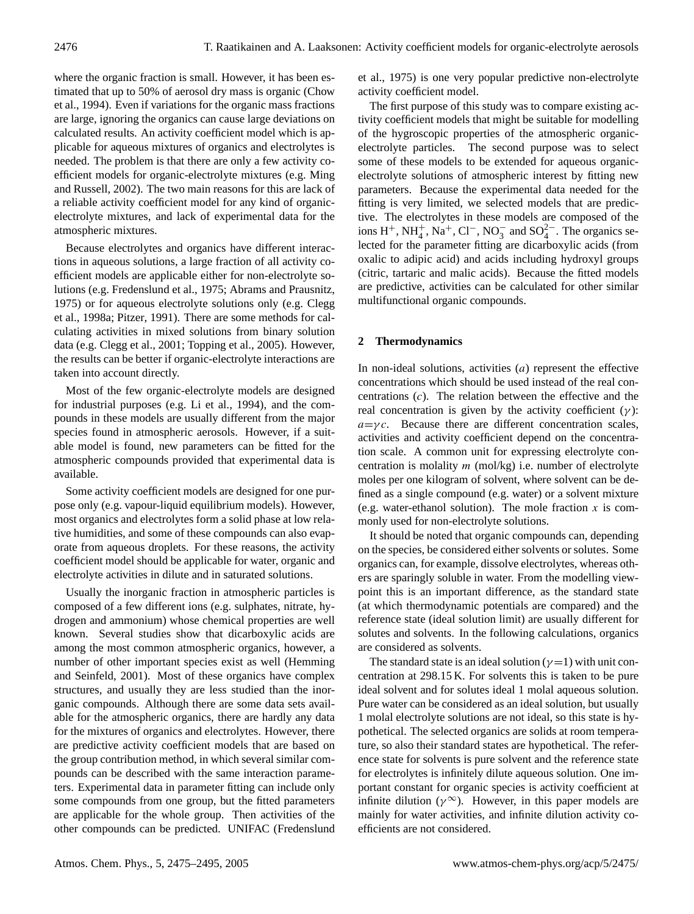where the organic fraction is small. However, it has been estimated that up to 50% of aerosol dry mass is organic [\(Chow](#page-19-0) [et al.,](#page-19-0) [1994\)](#page-19-0). Even if variations for the organic mass fractions are large, ignoring the organics can cause large deviations on calculated results. An activity coefficient model which is applicable for aqueous mixtures of organics and electrolytes is needed. The problem is that there are only a few activity coefficient models for organic-electrolyte mixtures (e.g. [Ming](#page-20-2) [and Russell,](#page-20-2) [2002\)](#page-20-2). The two main reasons for this are lack of a reliable activity coefficient model for any kind of organicelectrolyte mixtures, and lack of experimental data for the atmospheric mixtures.

Because electrolytes and organics have different interactions in aqueous solutions, a large fraction of all activity coefficient models are applicable either for non-electrolyte solutions (e.g. [Fredenslund et al.,](#page-19-1) [1975;](#page-19-1) [Abrams and Prausnitz,](#page-19-2) [1975\)](#page-19-2) or for aqueous electrolyte solutions only (e.g. [Clegg](#page-19-3) [et al.,](#page-19-3) [1998a;](#page-19-3) [Pitzer,](#page-20-3) [1991\)](#page-20-3). There are some methods for calculating activities in mixed solutions from binary solution data (e.g. [Clegg et al.,](#page-19-4) [2001;](#page-19-4) [Topping et al.,](#page-20-4) [2005\)](#page-20-4). However, the results can be better if organic-electrolyte interactions are taken into account directly.

Most of the few organic-electrolyte models are designed for industrial purposes (e.g. [Li et al.,](#page-20-5) [1994\)](#page-20-5), and the compounds in these models are usually different from the major species found in atmospheric aerosols. However, if a suitable model is found, new parameters can be fitted for the atmospheric compounds provided that experimental data is available.

Some activity coefficient models are designed for one purpose only (e.g. vapour-liquid equilibrium models). However, most organics and electrolytes form a solid phase at low relative humidities, and some of these compounds can also evaporate from aqueous droplets. For these reasons, the activity coefficient model should be applicable for water, organic and electrolyte activities in dilute and in saturated solutions.

Usually the inorganic fraction in atmospheric particles is composed of a few different ions (e.g. sulphates, nitrate, hydrogen and ammonium) whose chemical properties are well known. Several studies show that dicarboxylic acids are among the most common atmospheric organics, however, a number of other important species exist as well [\(Hemming](#page-20-6) [and Seinfeld,](#page-20-6) [2001\)](#page-20-6). Most of these organics have complex structures, and usually they are less studied than the inorganic compounds. Although there are some data sets available for the atmospheric organics, there are hardly any data for the mixtures of organics and electrolytes. However, there are predictive activity coefficient models that are based on the group contribution method, in which several similar compounds can be described with the same interaction parameters. Experimental data in parameter fitting can include only some compounds from one group, but the fitted parameters are applicable for the whole group. Then activities of the other compounds can be predicted. UNIFAC [\(Fredenslund](#page-19-1) [et al.,](#page-19-1) [1975\)](#page-19-1) is one very popular predictive non-electrolyte activity coefficient model.

The first purpose of this study was to compare existing activity coefficient models that might be suitable for modelling of the hygroscopic properties of the atmospheric organicelectrolyte particles. The second purpose was to select some of these models to be extended for aqueous organicelectrolyte solutions of atmospheric interest by fitting new parameters. Because the experimental data needed for the fitting is very limited, we selected models that are predictive. The electrolytes in these models are composed of the ions H<sup>+</sup>, NH<sub>4</sub><sup>+</sup>, Na<sup>+</sup>, Cl<sup>-</sup>, NO<sub>3</sub><sup>-</sup> and SO<sub>4</sub><sup>2</sup><sup>-</sup>. The organics selected for the parameter fitting are dicarboxylic acids (from oxalic to adipic acid) and acids including hydroxyl groups (citric, tartaric and malic acids). Because the fitted models are predictive, activities can be calculated for other similar multifunctional organic compounds.

## **2 Thermodynamics**

In non-ideal solutions, activities  $(a)$  represent the effective concentrations which should be used instead of the real concentrations (c). The relation between the effective and the real concentration is given by the activity coefficient  $(\gamma)$ :  $a = \gamma c$ . Because there are different concentration scales, activities and activity coefficient depend on the concentration scale. A common unit for expressing electrolyte concentration is molality  $m$  (mol/kg) i.e. number of electrolyte moles per one kilogram of solvent, where solvent can be defined as a single compound (e.g. water) or a solvent mixture (e.g. water-ethanol solution). The mole fraction  $x$  is commonly used for non-electrolyte solutions.

It should be noted that organic compounds can, depending on the species, be considered either solvents or solutes. Some organics can, for example, dissolve electrolytes, whereas others are sparingly soluble in water. From the modelling viewpoint this is an important difference, as the standard state (at which thermodynamic potentials are compared) and the reference state (ideal solution limit) are usually different for solutes and solvents. In the following calculations, organics are considered as solvents.

The standard state is an ideal solution ( $\gamma$  = 1) with unit concentration at 298.15 K. For solvents this is taken to be pure ideal solvent and for solutes ideal 1 molal aqueous solution. Pure water can be considered as an ideal solution, but usually 1 molal electrolyte solutions are not ideal, so this state is hypothetical. The selected organics are solids at room temperature, so also their standard states are hypothetical. The reference state for solvents is pure solvent and the reference state for electrolytes is infinitely dilute aqueous solution. One important constant for organic species is activity coefficient at infinite dilution ( $\gamma^{\infty}$ ). However, in this paper models are mainly for water activities, and infinite dilution activity coefficients are not considered.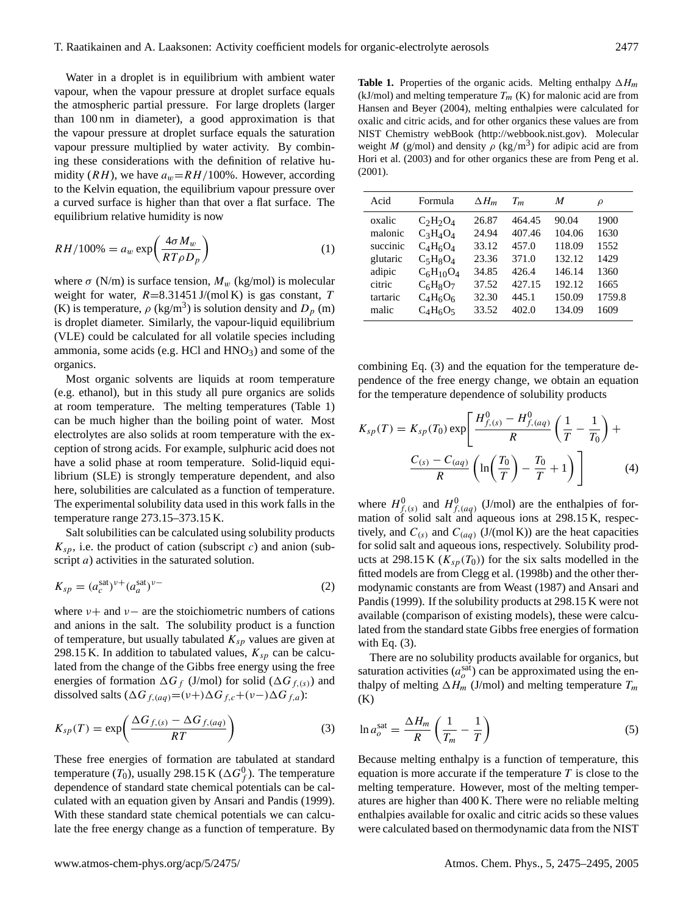Water in a droplet is in equilibrium with ambient water vapour, when the vapour pressure at droplet surface equals the atmospheric partial pressure. For large droplets (larger than 100 nm in diameter), a good approximation is that the vapour pressure at droplet surface equals the saturation vapour pressure multiplied by water activity. By combining these considerations with the definition of relative humidity (RH), we have  $a_w = R H/100\%$ . However, according to the Kelvin equation, the equilibrium vapour pressure over a curved surface is higher than that over a flat surface. The equilibrium relative humidity is now

<span id="page-2-2"></span>
$$
RH/100\% = a_w \exp\left(\frac{4\sigma M_w}{RT\rho D_p}\right) \tag{1}
$$

where  $\sigma$  (N/m) is surface tension,  $M_w$  (kg/mol) is molecular weight for water,  $R=8.31451 \text{ J/(mol K)}$  is gas constant, T (K) is temperature,  $\rho$  (kg/m<sup>3</sup>) is solution density and  $D_p$  (m) is droplet diameter. Similarly, the vapour-liquid equilibrium (VLE) could be calculated for all volatile species including ammonia, some acids (e.g. HCl and  $HNO<sub>3</sub>$ ) and some of the organics.

Most organic solvents are liquids at room temperature (e.g. ethanol), but in this study all pure organics are solids at room temperature. The melting temperatures (Table [1\)](#page-2-0) can be much higher than the boiling point of water. Most electrolytes are also solids at room temperature with the exception of strong acids. For example, sulphuric acid does not have a solid phase at room temperature. Solid-liquid equilibrium (SLE) is strongly temperature dependent, and also here, solubilities are calculated as a function of temperature. The experimental solubility data used in this work falls in the temperature range 273.15–373.15 K.

Salt solubilities can be calculated using solubility products  $K_{sp}$ , i.e. the product of cation (subscript c) and anion (subscript  $a$ ) activities in the saturated solution.

$$
K_{sp} = (a_c^{\text{sat}})^{\nu+} (a_a^{\text{sat}})^{\nu-}
$$
 (2)

where  $\nu+$  and  $\nu-$  are the stoichiometric numbers of cations and anions in the salt. The solubility product is a function of temperature, but usually tabulated  $K_{sp}$  values are given at 298.15 K. In addition to tabulated values,  $K_{sp}$  can be calculated from the change of the Gibbs free energy using the free energies of formation  $\Delta G_f$  (J/mol) for solid ( $\Delta G_{f(s)}$ ) and dissolved salts  $(\Delta G_{f,(aq)}=(\nu+)\Delta G_{f,c}+(\nu-)\Delta G_{f,a})$ :

<span id="page-2-1"></span>
$$
K_{sp}(T) = \exp\left(\frac{\Delta G_{f,(s)} - \Delta G_{f,(aq)}}{RT}\right) \tag{3}
$$

These free energies of formation are tabulated at standard temperature (*T*<sub>0</sub>), usually 298.15 K ( $\Delta G_f^0$ ). The temperature dependence of standard state chemical potentials can be calculated with an equation given by [Ansari and Pandis](#page-19-5) [\(1999\)](#page-19-5). With these standard state chemical potentials we can calculate the free energy change as a function of temperature. By

<span id="page-2-0"></span>**Table 1.** Properties of the organic acids. Melting enthalpy  $\Delta H_m$ (kJ/mol) and melting temperature  $T_m$  (K) for malonic acid are from [Hansen and Beyer](#page-19-6) [\(2004\)](#page-19-6), melting enthalpies were calculated for oxalic and citric acids, and for other organics these values are from NIST Chemistry webBook [\(http://webbook.nist.gov\)](http://webbook.nist.gov). Molecular weight M (g/mol) and density  $\rho$  (kg/m<sup>3</sup>) for adipic acid are from [Hori et al.](#page-20-7) [\(2003\)](#page-20-7) and for other organics these are from [Peng et al.](#page-20-8) [\(2001\)](#page-20-8).

| Acid     | Formula        | $\Delta H_m$ | $T_m$  | M      | $\rho$ |
|----------|----------------|--------------|--------|--------|--------|
| oxalic   | $C_2H_2O_4$    | 26.87        | 464.45 | 90.04  | 1900   |
| malonic  | $C_3H_4O_4$    | 24.94        | 407.46 | 104.06 | 1630   |
| succinic | $C_4H_6O_4$    | 33.12        | 457.0  | 118.09 | 1552   |
| glutaric | $C_5H_8O_4$    | 23.36        | 371.0  | 132.12 | 1429   |
| adipic   | $C_6H_{10}O_4$ | 34.85        | 426.4  | 146.14 | 1360   |
| citric   | $C_6H_8O_7$    | 37.52        | 427.15 | 192.12 | 1665   |
| tartaric | $C_4H_6O_6$    | 32.30        | 445.1  | 150.09 | 1759.8 |
| malic    | $C_4H_6O_5$    | 33.52        | 402.0  | 134.09 | 1609   |
|          |                |              |        |        |        |

combining Eq. [\(3\)](#page-2-1) and the equation for the temperature dependence of the free energy change, we obtain an equation for the temperature dependence of solubility products

$$
K_{sp}(T) = K_{sp}(T_0) \exp\left[\frac{H_{f,(s)}^0 - H_{f,(aq)}^0}{R} \left(\frac{1}{T} - \frac{1}{T_0}\right) + \frac{C_{(s)} - C_{(aq)}}{R} \left(\ln\left(\frac{T_0}{T}\right) - \frac{T_0}{T} + 1\right)\right]
$$
(4)

where  $H^0_{f,(s)}$  and  $H^0_{f,(aq)}$  (J/mol) are the enthalpies of formation of solid salt and aqueous ions at 298.15 K, respectively, and  $C_{(s)}$  and  $C_{(aq)}$  (J/(mol K)) are the heat capacities for solid salt and aqueous ions, respectively. Solubility products at 298.15 K ( $K_{sp}(T_0)$ ) for the six salts modelled in the fitted models are from [Clegg et al.](#page-19-7) [\(1998b\)](#page-19-7) and the other thermodynamic constants are from [Weast](#page-20-9) [\(1987\)](#page-20-9) and [Ansari and](#page-19-5) [Pandis](#page-19-5) [\(1999\)](#page-19-5). If the solubility products at 298.15 K were not available (comparison of existing models), these were calculated from the standard state Gibbs free energies of formation with Eq. [\(3\)](#page-2-1).

There are no solubility products available for organics, but saturation activities  $(a<sub>o</sub><sup>sat</sup>)$  can be approximated using the enthalpy of melting  $\Delta H_m$  (J/mol) and melting temperature  $T_m$ (K)

$$
\ln a_o^{\text{sat}} = \frac{\Delta H_m}{R} \left( \frac{1}{T_m} - \frac{1}{T} \right) \tag{5}
$$

Because melting enthalpy is a function of temperature, this equation is more accurate if the temperature  $T$  is close to the melting temperature. However, most of the melting temperatures are higher than 400 K. There were no reliable melting enthalpies available for oxalic and citric acids so these values were calculated based on thermodynamic data from the NIST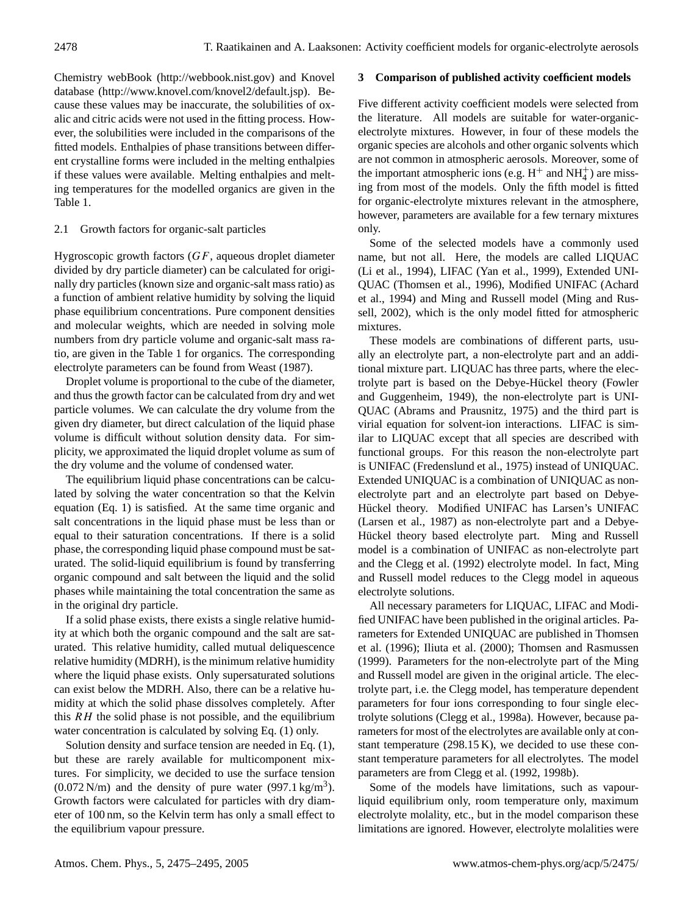Chemistry webBook [\(http://webbook.nist.gov\)](http://webbook.nist.gov) and Knovel database [\(http://www.knovel.com/knovel2/default.jsp\)](http://www.knovel.com/knovel2/default.jsp). Because these values may be inaccurate, the solubilities of oxalic and citric acids were not used in the fitting process. However, the solubilities were included in the comparisons of the fitted models. Enthalpies of phase transitions between different crystalline forms were included in the melting enthalpies if these values were available. Melting enthalpies and melting temperatures for the modelled organics are given in the Table [1.](#page-2-0)

# 2.1 Growth factors for organic-salt particles

Hygroscopic growth factors  $(GF,$  aqueous droplet diameter divided by dry particle diameter) can be calculated for originally dry particles (known size and organic-salt mass ratio) as a function of ambient relative humidity by solving the liquid phase equilibrium concentrations. Pure component densities and molecular weights, which are needed in solving mole numbers from dry particle volume and organic-salt mass ratio, are given in the Table [1](#page-2-0) for organics. The corresponding electrolyte parameters can be found from [Weast](#page-20-9) [\(1987\)](#page-20-9).

Droplet volume is proportional to the cube of the diameter, and thus the growth factor can be calculated from dry and wet particle volumes. We can calculate the dry volume from the given dry diameter, but direct calculation of the liquid phase volume is difficult without solution density data. For simplicity, we approximated the liquid droplet volume as sum of the dry volume and the volume of condensed water.

The equilibrium liquid phase concentrations can be calculated by solving the water concentration so that the Kelvin equation (Eq. [1\)](#page-2-2) is satisfied. At the same time organic and salt concentrations in the liquid phase must be less than or equal to their saturation concentrations. If there is a solid phase, the corresponding liquid phase compound must be saturated. The solid-liquid equilibrium is found by transferring organic compound and salt between the liquid and the solid phases while maintaining the total concentration the same as in the original dry particle.

If a solid phase exists, there exists a single relative humidity at which both the organic compound and the salt are saturated. This relative humidity, called mutual deliquescence relative humidity (MDRH), is the minimum relative humidity where the liquid phase exists. Only supersaturated solutions can exist below the MDRH. Also, there can be a relative humidity at which the solid phase dissolves completely. After this  $RH$  the solid phase is not possible, and the equilibrium water concentration is calculated by solving Eq. [\(1\)](#page-2-2) only.

Solution density and surface tension are needed in Eq. [\(1\)](#page-2-2), but these are rarely available for multicomponent mixtures. For simplicity, we decided to use the surface tension  $(0.072 \text{ N/m})$  and the density of pure water  $(997.1 \text{ kg/m}^3)$ . Growth factors were calculated for particles with dry diameter of 100 nm, so the Kelvin term has only a small effect to the equilibrium vapour pressure.

#### <span id="page-3-0"></span>**3 Comparison of published activity coefficient models**

Five different activity coefficient models were selected from the literature. All models are suitable for water-organicelectrolyte mixtures. However, in four of these models the organic species are alcohols and other organic solvents which are not common in atmospheric aerosols. Moreover, some of the important atmospheric ions (e.g.  $H^+$  and  $NH<sub>4</sub><sup>+</sup>$ ) are missing from most of the models. Only the fifth model is fitted for organic-electrolyte mixtures relevant in the atmosphere, however, parameters are available for a few ternary mixtures only.

Some of the selected models have a commonly used name, but not all. Here, the models are called LIQUAC [\(Li et al.,](#page-20-5) [1994\)](#page-20-5), LIFAC [\(Yan et al.,](#page-20-10) [1999\)](#page-20-10), Extended UNI-QUAC [\(Thomsen et al.,](#page-20-11) [1996\)](#page-20-11), Modified UNIFAC [\(Achard](#page-19-8) [et al.,](#page-19-8) [1994\)](#page-19-8) and Ming and Russell model [\(Ming and Rus](#page-20-2)[sell,](#page-20-2) [2002\)](#page-20-2), which is the only model fitted for atmospheric mixtures.

These models are combinations of different parts, usually an electrolyte part, a non-electrolyte part and an additional mixture part. LIQUAC has three parts, where the elec-trolyte part is based on the Debye-Hückel theory ([Fowler](#page-19-9) [and Guggenheim,](#page-19-9) [1949\)](#page-19-9), the non-electrolyte part is UNI-QUAC [\(Abrams and Prausnitz,](#page-19-2) [1975\)](#page-19-2) and the third part is virial equation for solvent-ion interactions. LIFAC is similar to LIQUAC except that all species are described with functional groups. For this reason the non-electrolyte part is UNIFAC [\(Fredenslund et al.,](#page-19-1) [1975\)](#page-19-1) instead of UNIQUAC. Extended UNIQUAC is a combination of UNIQUAC as nonelectrolyte part and an electrolyte part based on Debye-Hückel theory. Modified UNIFAC has Larsen's UNIFAC [\(Larsen et al.,](#page-20-12) [1987\)](#page-20-12) as non-electrolyte part and a Debye-Hückel theory based electrolyte part. Ming and Russell model is a combination of UNIFAC as non-electrolyte part and the [Clegg et al.](#page-19-10) [\(1992\)](#page-19-10) electrolyte model. In fact, Ming and Russell model reduces to the Clegg model in aqueous electrolyte solutions.

All necessary parameters for LIQUAC, LIFAC and Modified UNIFAC have been published in the original articles. Parameters for Extended UNIQUAC are published in [Thomsen](#page-20-11) [et al.](#page-20-11) [\(1996\)](#page-20-11); [Iliuta et al.](#page-20-13) [\(2000\)](#page-20-13); [Thomsen and Rasmussen](#page-20-14) [\(1999\)](#page-20-14). Parameters for the non-electrolyte part of the Ming and Russell model are given in the original article. The electrolyte part, i.e. the Clegg model, has temperature dependent parameters for four ions corresponding to four single electrolyte solutions [\(Clegg et al.,](#page-19-3) [1998a\)](#page-19-3). However, because parameters for most of the electrolytes are available only at constant temperature (298.15 K), we decided to use these constant temperature parameters for all electrolytes. The model parameters are from [Clegg et al.](#page-19-10) [\(1992,](#page-19-10) [1998b\)](#page-19-7).

Some of the models have limitations, such as vapourliquid equilibrium only, room temperature only, maximum electrolyte molality, etc., but in the model comparison these limitations are ignored. However, electrolyte molalities were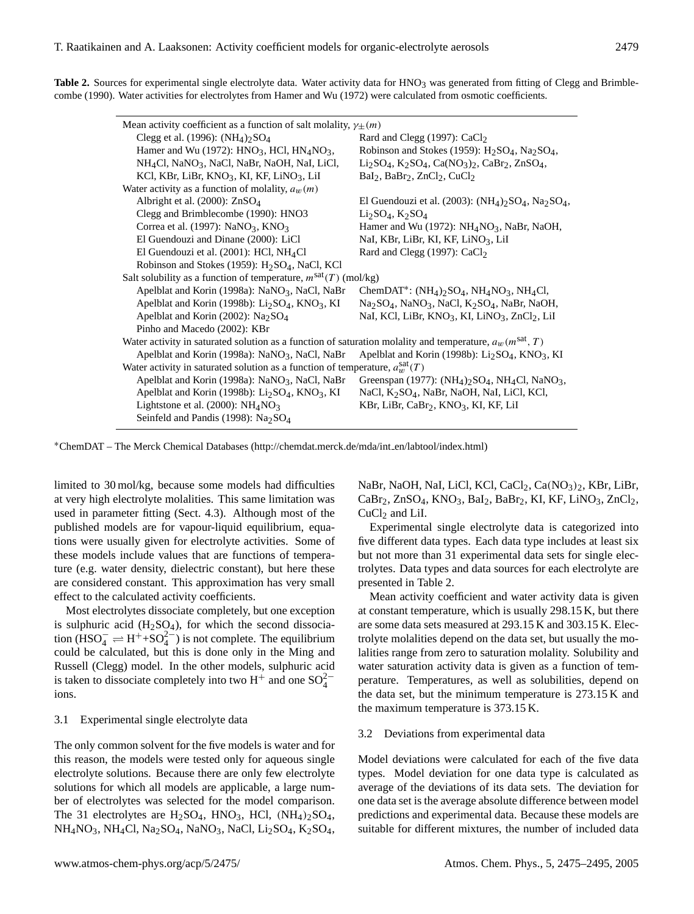Table 2. Sources for experimental single electrolyte data. Water activity data for HNO<sub>3</sub> was generated from fitting of [Clegg and Brimble](#page-19-11)[combe](#page-19-11) [\(1990\)](#page-19-11). Water activities for electrolytes from [Hamer and Wu](#page-19-12) [\(1972\)](#page-19-12) were calculated from osmotic coefficients.

<span id="page-4-0"></span>

| Mean activity coefficient as a function of salt molality, $\gamma + (m)$                                            |                                                                                                                         |
|---------------------------------------------------------------------------------------------------------------------|-------------------------------------------------------------------------------------------------------------------------|
| Clegg et al. (1996): $(NH_4)$ <sub>2</sub> SO <sub>4</sub>                                                          | Rard and Clegg $(1997)$ : CaCl <sub>2</sub>                                                                             |
| Hamer and Wu (1972): $HNO3$ , HCl, $HN4NO3$ ,                                                                       | Robinson and Stokes (1959): $H2SO4$ , Na <sub>2</sub> SO <sub>4</sub> ,                                                 |
| NH <sub>4</sub> Cl, NaNO <sub>3</sub> , NaCl, NaBr, NaOH, NaI, LiCl,                                                | $Li2SO4$ , K <sub>2</sub> SO <sub>4</sub> , Ca(NO <sub>3</sub> ) <sub>2</sub> , CaBr <sub>2</sub> , ZnSO <sub>4</sub> , |
| KCl, KBr, LiBr, KNO <sub>3</sub> , KI, KF, LiNO <sub>3</sub> , LiI                                                  | $BaI2$ , $BaBr2$ , $ZnCl2$ , $CuCl2$                                                                                    |
| Water activity as a function of molality, $a_w(m)$                                                                  |                                                                                                                         |
| Albright et al. (2000): $ZnSO4$                                                                                     | El Guendouzi et al. (2003): $(NH_4)$ <sub>2</sub> SO <sub>4</sub> , Na <sub>2</sub> SO <sub>4</sub> ,                   |
| Clegg and Brimblecombe (1990): HNO3                                                                                 | $Li2SO4$ , $K2SO4$                                                                                                      |
| Correa et al. $(1997)$ : NaNO <sub>3</sub> , KNO <sub>3</sub>                                                       | Hamer and Wu (1972): $NH4NO3$ , NaBr, NaOH,                                                                             |
| El Guendouzi and Dinane (2000): LiCl                                                                                | Nal, KBr, LiBr, KI, KF, LiNO <sub>3</sub> , LiI                                                                         |
| El Guendouzi et al. $(2001)$ : HCl, NH <sub>4</sub> Cl                                                              | Rard and Clegg (1997): CaCl <sub>2</sub>                                                                                |
| Robinson and Stokes (1959): $H_2SO_4$ , NaCl, KCl                                                                   |                                                                                                                         |
| Salt solubility as a function of temperature, $msat(T)$ (mol/kg)                                                    |                                                                                                                         |
| Apelblat and Korin (1998a): NaNO <sub>3</sub> , NaCl, NaBr                                                          | ChemDAT*: $(NH4)2SO4$ , $NH4NO3$ , $NH4Cl$ ,                                                                            |
| Apelblat and Korin (1998b): Li <sub>2</sub> SO <sub>4</sub> , KNO <sub>3</sub> , KI                                 | Na <sub>2</sub> SO <sub>4</sub> , NaNO <sub>3</sub> , NaCl, K <sub>2</sub> SO <sub>4</sub> , NaBr, NaOH,                |
| Apelblat and Korin (2002): $Na2SO4$                                                                                 | NaI, KCl, LiBr, KNO <sub>3</sub> , KI, LiNO <sub>3</sub> , ZnCl <sub>2</sub> , LiI                                      |
| Pinho and Macedo (2002): KBr                                                                                        |                                                                                                                         |
| Water activity in saturated solution as a function of saturation molality and temperature, $a_w(m^{\text{sat}}, T)$ |                                                                                                                         |
| Apelblat and Korin (1998a): NaNO <sub>3</sub> , NaCl, NaBr                                                          | Apelblat and Korin (1998b): $Li2SO4$ , KNO <sub>3</sub> , KI                                                            |
| Water activity in saturated solution as a function of temperature, $a_w^{\text{sat}}(T)$                            |                                                                                                                         |
| Apelblat and Korin (1998a): NaNO <sub>3</sub> , NaCl, NaBr                                                          | Greenspan (1977): (NH <sub>4</sub> ) <sub>2</sub> SO <sub>4</sub> , NH <sub>4</sub> Cl, NaNO <sub>3</sub> ,             |
| Apelblat and Korin (1998b): $Li2SO4$ , KNO <sub>3</sub> , KI                                                        | NaCl, K <sub>2</sub> SO <sub>4</sub> , NaBr, NaOH, NaI, LiCl, KCl,                                                      |
| Lightstone et al. (2000): $NH_4NO_3$                                                                                | KBr, LiBr, CaBr <sub>2</sub> , KNO <sub>3</sub> , KI, KF, LiI                                                           |
| Seinfeld and Pandis (1998): $Na2SO4$                                                                                |                                                                                                                         |

<sup>∗</sup>ChemDAT – The Merck Chemical Databases [\(http://chemdat.merck.de/mda/int](http://chemdat.merck.de/mda/int_en/labtool/index.html) en/labtool/index.html)

limited to 30 mol/kg, because some models had difficulties at very high electrolyte molalities. This same limitation was used in parameter fitting (Sect. [4.3\)](#page-6-0). Although most of the published models are for vapour-liquid equilibrium, equations were usually given for electrolyte activities. Some of these models include values that are functions of temperature (e.g. water density, dielectric constant), but here these are considered constant. This approximation has very small effect to the calculated activity coefficients.

Most electrolytes dissociate completely, but one exception is sulphuric acid  $(H_2SO_4)$ , for which the second dissociation  $(HSO_4^- \rightleftharpoons H^+ + SO_4^{2-})$  is not complete. The equilibrium could be calculated, but this is done only in the Ming and Russell (Clegg) model. In the other models, sulphuric acid is taken to dissociate completely into two H<sup>+</sup> and one  $SO_4^{2-}$ ions.

#### 3.1 Experimental single electrolyte data

The only common solvent for the five models is water and for this reason, the models were tested only for aqueous single electrolyte solutions. Because there are only few electrolyte solutions for which all models are applicable, a large number of electrolytes was selected for the model comparison. The 31 electrolytes are  $H_2SO_4$ , HNO<sub>3</sub>, HCl,  $(NH_4)_2SO_4$ , NH<sub>4</sub>NO<sub>3</sub>, NH<sub>4</sub>Cl, Na<sub>2</sub>SO<sub>4</sub>, NaNO<sub>3</sub>, NaCl, Li<sub>2</sub>SO<sub>4</sub>, K<sub>2</sub>SO<sub>4</sub>, NaBr, NaOH, NaI, LiCl, KCl, CaCl<sub>2</sub>, Ca(NO<sub>3</sub>)<sub>2</sub>, KBr, LiBr,  $CaBr_2$ ,  $ZnSO_4$ ,  $KNO_3$ ,  $BaI_2$ ,  $BaBr_2$ ,  $KI$ ,  $KF$ ,  $LiNO_3$ ,  $ZnCl_2$ , CuCl<sub>2</sub> and LiI.

Experimental single electrolyte data is categorized into five different data types. Each data type includes at least six but not more than 31 experimental data sets for single electrolytes. Data types and data sources for each electrolyte are presented in Table [2.](#page-4-0)

Mean activity coefficient and water activity data is given at constant temperature, which is usually 298.15 K, but there are some data sets measured at 293.15 K and 303.15 K. Electrolyte molalities depend on the data set, but usually the molalities range from zero to saturation molality. Solubility and water saturation activity data is given as a function of temperature. Temperatures, as well as solubilities, depend on the data set, but the minimum temperature is 273.15 K and the maximum temperature is 373.15 K.

#### <span id="page-4-1"></span>3.2 Deviations from experimental data

Model deviations were calculated for each of the five data types. Model deviation for one data type is calculated as average of the deviations of its data sets. The deviation for one data set is the average absolute difference between model predictions and experimental data. Because these models are suitable for different mixtures, the number of included data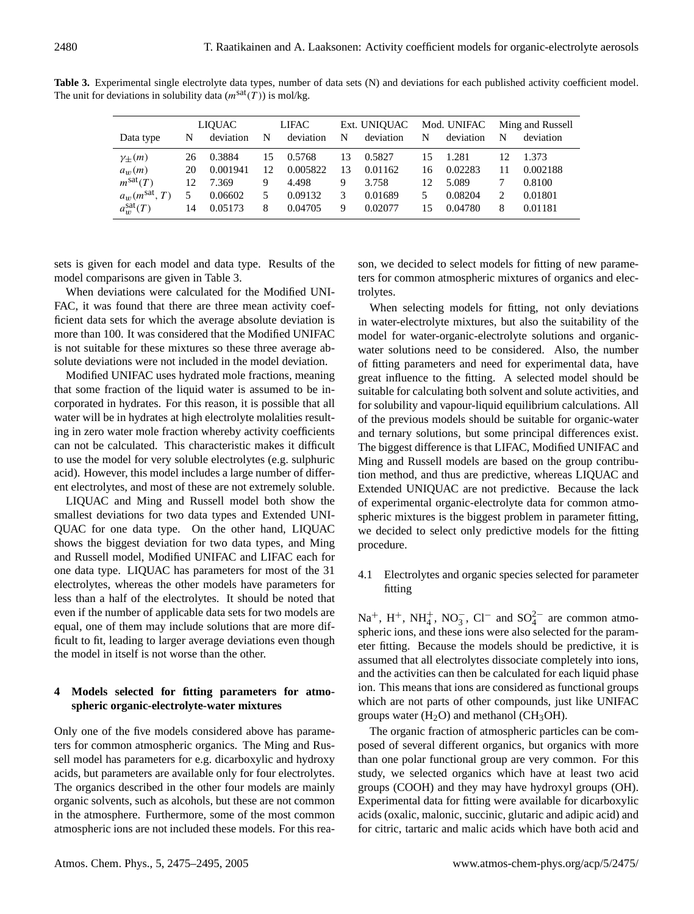<span id="page-5-0"></span>

|                          | <b>LIOUAC</b> |           | <b>LIFAC</b> |           |    | Ext. UNIOUAC |    | Mod. UNIFAC |    | Ming and Russell |  |
|--------------------------|---------------|-----------|--------------|-----------|----|--------------|----|-------------|----|------------------|--|
| Data type                | N             | deviation | N            | deviation | N  | deviation    | N  | deviation   | N  | deviation        |  |
| $\gamma + (m)$           | 26            | 0.3884    | 15           | 0.5768    | 13 | 0.5827       | 15 | 1.281       | 12 | 1.373            |  |
| $a_w(m)$                 | 20            | 0.001941  | 12           | 0.005822  | 13 | 0.01162      | 16 | 0.02283     | 11 | 0.002188         |  |
| $m^{\text{sat}}(T)$      | 12            | 7.369     | 9            | 4.498     | 9  | 3.758        | 12 | 5.089       |    | 0.8100           |  |
| $a_w(m^{\text{sat}}, T)$ |               | 0.06602   | .5           | 0.09132   | 3  | 0.01689      | 5  | 0.08204     | 2  | 0.01801          |  |
| $a_{w}^{\text{sat}}(T)$  | 14            | 0.05173   | 8            | 0.04705   | 9  | 0.02077      | 15 | 0.04780     | 8  | 0.01181          |  |

**Table 3.** Experimental single electrolyte data types, number of data sets (N) and deviations for each published activity coefficient model. The unit for deviations in solubility data  $(m<sup>sat</sup>(T))$  is mol/kg.

sets is given for each model and data type. Results of the model comparisons are given in Table [3.](#page-5-0)

When deviations were calculated for the Modified UNI-FAC, it was found that there are three mean activity coefficient data sets for which the average absolute deviation is more than 100. It was considered that the Modified UNIFAC is not suitable for these mixtures so these three average absolute deviations were not included in the model deviation.

Modified UNIFAC uses hydrated mole fractions, meaning that some fraction of the liquid water is assumed to be incorporated in hydrates. For this reason, it is possible that all water will be in hydrates at high electrolyte molalities resulting in zero water mole fraction whereby activity coefficients can not be calculated. This characteristic makes it difficult to use the model for very soluble electrolytes (e.g. sulphuric acid). However, this model includes a large number of different electrolytes, and most of these are not extremely soluble.

LIQUAC and Ming and Russell model both show the smallest deviations for two data types and Extended UNI-QUAC for one data type. On the other hand, LIQUAC shows the biggest deviation for two data types, and Ming and Russell model, Modified UNIFAC and LIFAC each for one data type. LIQUAC has parameters for most of the 31 electrolytes, whereas the other models have parameters for less than a half of the electrolytes. It should be noted that even if the number of applicable data sets for two models are equal, one of them may include solutions that are more difficult to fit, leading to larger average deviations even though the model in itself is not worse than the other.

# **4 Models selected for fitting parameters for atmospheric organic-electrolyte-water mixtures**

Only one of the five models considered above has parameters for common atmospheric organics. The Ming and Russell model has parameters for e.g. dicarboxylic and hydroxy acids, but parameters are available only for four electrolytes. The organics described in the other four models are mainly organic solvents, such as alcohols, but these are not common in the atmosphere. Furthermore, some of the most common atmospheric ions are not included these models. For this reason, we decided to select models for fitting of new parameters for common atmospheric mixtures of organics and electrolytes.

When selecting models for fitting, not only deviations in water-electrolyte mixtures, but also the suitability of the model for water-organic-electrolyte solutions and organicwater solutions need to be considered. Also, the number of fitting parameters and need for experimental data, have great influence to the fitting. A selected model should be suitable for calculating both solvent and solute activities, and for solubility and vapour-liquid equilibrium calculations. All of the previous models should be suitable for organic-water and ternary solutions, but some principal differences exist. The biggest difference is that LIFAC, Modified UNIFAC and Ming and Russell models are based on the group contribution method, and thus are predictive, whereas LIQUAC and Extended UNIQUAC are not predictive. Because the lack of experimental organic-electrolyte data for common atmospheric mixtures is the biggest problem in parameter fitting, we decided to select only predictive models for the fitting procedure.

4.1 Electrolytes and organic species selected for parameter fitting

Na<sup>+</sup>, H<sup>+</sup>, NH<sub>4</sub><sup>+</sup>, NO<sub>3</sub><sup>-</sup>, Cl<sup>-</sup> and SO<sub>4</sub><sup>2</sup><sup>-</sup> are common atmospheric ions, and these ions were also selected for the parameter fitting. Because the models should be predictive, it is assumed that all electrolytes dissociate completely into ions, and the activities can then be calculated for each liquid phase ion. This means that ions are considered as functional groups which are not parts of other compounds, just like UNIFAC groups water  $(H<sub>2</sub>O)$  and methanol (CH<sub>3</sub>OH).

The organic fraction of atmospheric particles can be composed of several different organics, but organics with more than one polar functional group are very common. For this study, we selected organics which have at least two acid groups (COOH) and they may have hydroxyl groups (OH). Experimental data for fitting were available for dicarboxylic acids (oxalic, malonic, succinic, glutaric and adipic acid) and for citric, tartaric and malic acids which have both acid and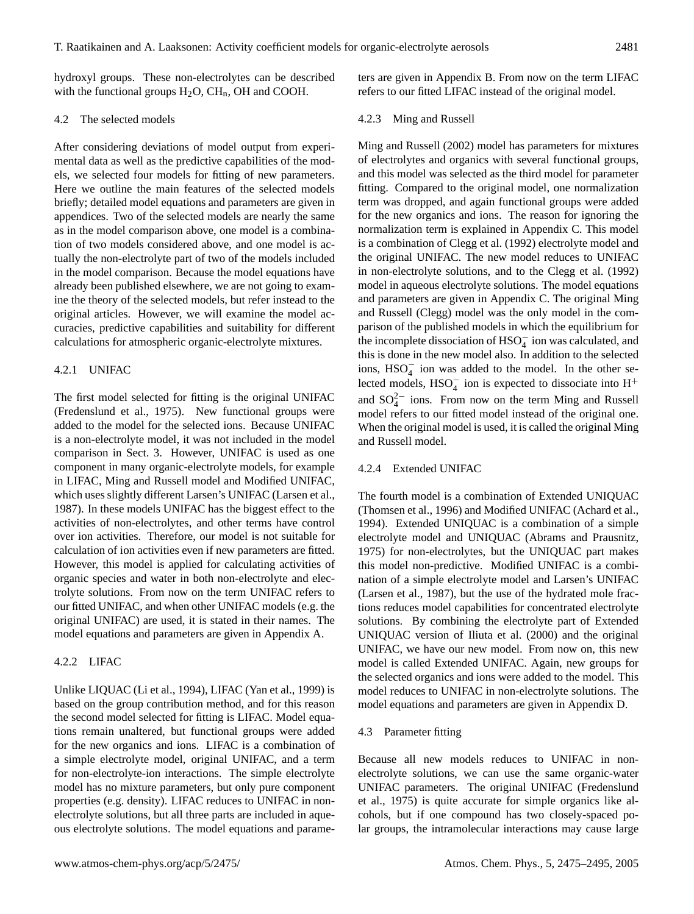hydroxyl groups. These non-electrolytes can be described with the functional groups  $H_2O$ ,  $CH_n$ , OH and COOH.

#### 4.2 The selected models

After considering deviations of model output from experimental data as well as the predictive capabilities of the models, we selected four models for fitting of new parameters. Here we outline the main features of the selected models briefly; detailed model equations and parameters are given in appendices. Two of the selected models are nearly the same as in the model comparison above, one model is a combination of two models considered above, and one model is actually the non-electrolyte part of two of the models included in the model comparison. Because the model equations have already been published elsewhere, we are not going to examine the theory of the selected models, but refer instead to the original articles. However, we will examine the model accuracies, predictive capabilities and suitability for different calculations for atmospheric organic-electrolyte mixtures.

## 4.2.1 UNIFAC

The first model selected for fitting is the original UNIFAC [\(Fredenslund et al.,](#page-19-1) [1975\)](#page-19-1). New functional groups were added to the model for the selected ions. Because UNIFAC is a non-electrolyte model, it was not included in the model comparison in Sect. [3.](#page-3-0) However, UNIFAC is used as one component in many organic-electrolyte models, for example in LIFAC, Ming and Russell model and Modified UNIFAC, which uses slightly different Larsen's UNIFAC [\(Larsen et al.,](#page-20-12) [1987\)](#page-20-12). In these models UNIFAC has the biggest effect to the activities of non-electrolytes, and other terms have control over ion activities. Therefore, our model is not suitable for calculation of ion activities even if new parameters are fitted. However, this model is applied for calculating activities of organic species and water in both non-electrolyte and electrolyte solutions. From now on the term UNIFAC refers to our fitted UNIFAC, and when other UNIFAC models (e.g. the original UNIFAC) are used, it is stated in their names. The model equations and parameters are given in Appendix A.

# 4.2.2 LIFAC

Unlike LIQUAC [\(Li et al.,](#page-20-5) [1994\)](#page-20-5), LIFAC [\(Yan et al.,](#page-20-10) [1999\)](#page-20-10) is based on the group contribution method, and for this reason the second model selected for fitting is LIFAC. Model equations remain unaltered, but functional groups were added for the new organics and ions. LIFAC is a combination of a simple electrolyte model, original UNIFAC, and a term for non-electrolyte-ion interactions. The simple electrolyte model has no mixture parameters, but only pure component properties (e.g. density). LIFAC reduces to UNIFAC in nonelectrolyte solutions, but all three parts are included in aqueous electrolyte solutions. The model equations and parameters are given in Appendix B. From now on the term LIFAC refers to our fitted LIFAC instead of the original model.

#### 4.2.3 Ming and Russell

[Ming and Russell](#page-20-2) [\(2002\)](#page-20-2) model has parameters for mixtures of electrolytes and organics with several functional groups, and this model was selected as the third model for parameter fitting. Compared to the original model, one normalization term was dropped, and again functional groups were added for the new organics and ions. The reason for ignoring the normalization term is explained in Appendix C. This model is a combination of [Clegg et al.](#page-19-10) [\(1992\)](#page-19-10) electrolyte model and the original UNIFAC. The new model reduces to UNIFAC in non-electrolyte solutions, and to the [Clegg et al.](#page-19-10) [\(1992\)](#page-19-10) model in aqueous electrolyte solutions. The model equations and parameters are given in Appendix C. The original Ming and Russell (Clegg) model was the only model in the comparison of the published models in which the equilibrium for the incomplete dissociation of  $\text{HSO}_4^-$  ion was calculated, and this is done in the new model also. In addition to the selected ions,  $HSO_4^-$  ion was added to the model. In the other selected models,  $HSO_4^-$  ion is expected to dissociate into  $H^+$ and  $SO_4^{2-}$  ions. From now on the term Ming and Russell model refers to our fitted model instead of the original one. When the original model is used, it is called the original Ming and Russell model.

#### 4.2.4 Extended UNIFAC

The fourth model is a combination of Extended UNIQUAC [\(Thomsen et al.,](#page-20-11) [1996\)](#page-20-11) and Modified UNIFAC [\(Achard et al.,](#page-19-8) [1994\)](#page-19-8). Extended UNIQUAC is a combination of a simple electrolyte model and UNIQUAC [\(Abrams and Prausnitz,](#page-19-2) [1975\)](#page-19-2) for non-electrolytes, but the UNIQUAC part makes this model non-predictive. Modified UNIFAC is a combination of a simple electrolyte model and Larsen's UNIFAC [\(Larsen et al.,](#page-20-12) [1987\)](#page-20-12), but the use of the hydrated mole fractions reduces model capabilities for concentrated electrolyte solutions. By combining the electrolyte part of Extended UNIQUAC version of [Iliuta et al.](#page-20-13) [\(2000\)](#page-20-13) and the original UNIFAC, we have our new model. From now on, this new model is called Extended UNIFAC. Again, new groups for the selected organics and ions were added to the model. This model reduces to UNIFAC in non-electrolyte solutions. The model equations and parameters are given in Appendix D.

#### <span id="page-6-0"></span>4.3 Parameter fitting

Because all new models reduces to UNIFAC in nonelectrolyte solutions, we can use the same organic-water UNIFAC parameters. The original UNIFAC [\(Fredenslund](#page-19-1) [et al.,](#page-19-1) [1975\)](#page-19-1) is quite accurate for simple organics like alcohols, but if one compound has two closely-spaced polar groups, the intramolecular interactions may cause large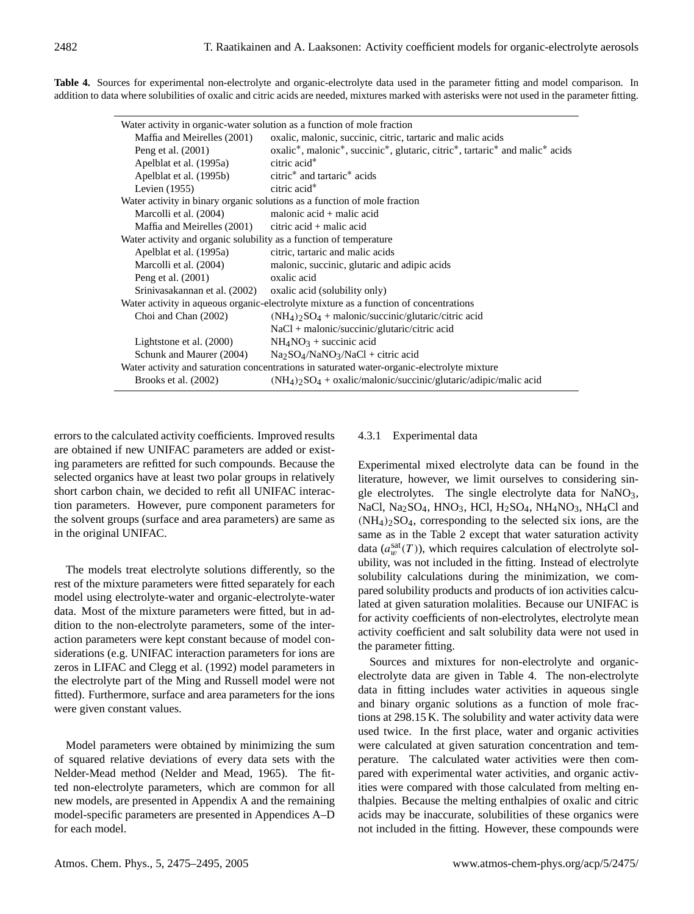|  | Table 4. Sources for experimental non-electrolyte and organic-electrolyte data used in the parameter fitting and model comparison. In             |  |  |  |  |  |
|--|---------------------------------------------------------------------------------------------------------------------------------------------------|--|--|--|--|--|
|  | addition to data where solubilities of oxalic and citric acids are needed, mixtures marked with asterisks were not used in the parameter fitting. |  |  |  |  |  |

<span id="page-7-0"></span>

|                                                                    | Water activity in organic-water solution as a function of mole fraction                     |  |  |  |  |  |  |  |  |
|--------------------------------------------------------------------|---------------------------------------------------------------------------------------------|--|--|--|--|--|--|--|--|
| Maffia and Meirelles (2001)                                        | oxalic, malonic, succinic, citric, tartaric and malic acids                                 |  |  |  |  |  |  |  |  |
|                                                                    |                                                                                             |  |  |  |  |  |  |  |  |
| Peng et al. $(2001)$                                               | oxalic*, malonic*, succinic*, glutaric, citric*, tartaric* and malic* acids                 |  |  |  |  |  |  |  |  |
| Apelblat et al. (1995a)                                            | citric acid*                                                                                |  |  |  |  |  |  |  |  |
| Apelblat et al. (1995b)                                            | citric <sup>*</sup> and tartaric <sup>*</sup> acids                                         |  |  |  |  |  |  |  |  |
| Levien $(1955)$                                                    | citric acid*                                                                                |  |  |  |  |  |  |  |  |
|                                                                    | Water activity in binary organic solutions as a function of mole fraction                   |  |  |  |  |  |  |  |  |
| Marcolli et al. (2004)                                             | malonic acid + malic acid                                                                   |  |  |  |  |  |  |  |  |
| Maffia and Meirelles $(2001)$ citric acid + malic acid             |                                                                                             |  |  |  |  |  |  |  |  |
| Water activity and organic solubility as a function of temperature |                                                                                             |  |  |  |  |  |  |  |  |
| Apelblat et al. (1995a)                                            | citric, tartaric and malic acids                                                            |  |  |  |  |  |  |  |  |
| Marcolli et al. (2004)                                             | malonic, succinic, glutaric and adipic acids                                                |  |  |  |  |  |  |  |  |
| Peng et al. $(2001)$                                               | oxalic acid                                                                                 |  |  |  |  |  |  |  |  |
| Srinivasakannan et al. (2002)                                      | oxalic acid (solubility only)                                                               |  |  |  |  |  |  |  |  |
|                                                                    | Water activity in aqueous organic-electrolyte mixture as a function of concentrations       |  |  |  |  |  |  |  |  |
| Choi and Chan (2002)                                               | $(NH_4)$ <sub>2</sub> SO <sub>4</sub> + malonic/succinic/glutaric/citric acid               |  |  |  |  |  |  |  |  |
|                                                                    | $NaCl + malonic/succinic/glutaric/citric acid$                                              |  |  |  |  |  |  |  |  |
| Lightstone et al. (2000)                                           | $NH_4NO_3$ + succinic acid                                                                  |  |  |  |  |  |  |  |  |
| Schunk and Maurer (2004)                                           | $Na2SO4/NaNO3/NaCl +$ citric acid                                                           |  |  |  |  |  |  |  |  |
|                                                                    | Water activity and saturation concentrations in saturated water-organic-electrolyte mixture |  |  |  |  |  |  |  |  |
| Brooks et al. (2002)                                               | $(NH_4)$ <sub>2</sub> SO <sub>4</sub> + oxalic/malonic/succinic/glutaric/adipic/malic acid  |  |  |  |  |  |  |  |  |

errors to the calculated activity coefficients. Improved results are obtained if new UNIFAC parameters are added or existing parameters are refitted for such compounds. Because the selected organics have at least two polar groups in relatively short carbon chain, we decided to refit all UNIFAC interaction parameters. However, pure component parameters for the solvent groups (surface and area parameters) are same as in the original UNIFAC.

The models treat electrolyte solutions differently, so the rest of the mixture parameters were fitted separately for each model using electrolyte-water and organic-electrolyte-water data. Most of the mixture parameters were fitted, but in addition to the non-electrolyte parameters, some of the interaction parameters were kept constant because of model considerations (e.g. UNIFAC interaction parameters for ions are zeros in LIFAC and [Clegg et al.](#page-19-10) [\(1992\)](#page-19-10) model parameters in the electrolyte part of the Ming and Russell model were not fitted). Furthermore, surface and area parameters for the ions were given constant values.

Model parameters were obtained by minimizing the sum of squared relative deviations of every data sets with the Nelder-Mead method [\(Nelder and Mead,](#page-20-25) [1965\)](#page-20-25). The fitted non-electrolyte parameters, which are common for all new models, are presented in Appendix A and the remaining model-specific parameters are presented in Appendices A–D for each model.

# 4.3.1 Experimental data

Experimental mixed electrolyte data can be found in the literature, however, we limit ourselves to considering single electrolytes. The single electrolyte data for  $NaNO<sub>3</sub>$ , NaCl, Na<sub>2</sub>SO<sub>4</sub>, HNO<sub>3</sub>, HCl, H<sub>2</sub>SO<sub>4</sub>, NH<sub>4</sub>NO<sub>3</sub>, NH<sub>4</sub>Cl and  $(NH<sub>4</sub>)<sub>2</sub>SO<sub>4</sub>$ , corresponding to the selected six ions, are the same as in the Table [2](#page-4-0) except that water saturation activity data  $(a_w^{\text{sat}}(T))$ , which requires calculation of electrolyte solubility, was not included in the fitting. Instead of electrolyte solubility calculations during the minimization, we compared solubility products and products of ion activities calculated at given saturation molalities. Because our UNIFAC is for activity coefficients of non-electrolytes, electrolyte mean activity coefficient and salt solubility data were not used in the parameter fitting.

Sources and mixtures for non-electrolyte and organicelectrolyte data are given in Table [4.](#page-7-0) The non-electrolyte data in fitting includes water activities in aqueous single and binary organic solutions as a function of mole fractions at 298.15 K. The solubility and water activity data were used twice. In the first place, water and organic activities were calculated at given saturation concentration and temperature. The calculated water activities were then compared with experimental water activities, and organic activities were compared with those calculated from melting enthalpies. Because the melting enthalpies of oxalic and citric acids may be inaccurate, solubilities of these organics were not included in the fitting. However, these compounds were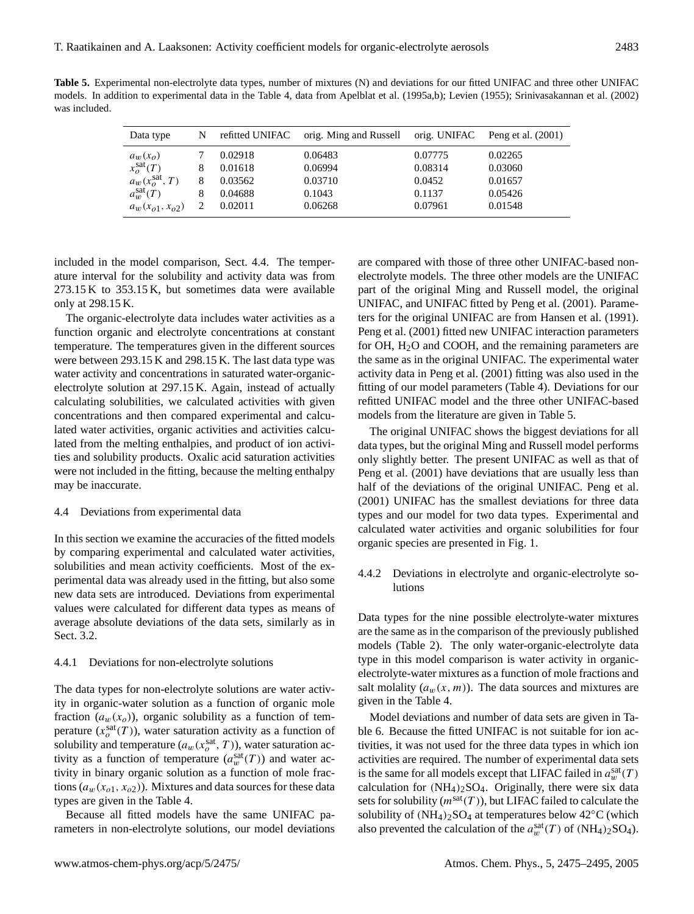<span id="page-8-1"></span>**Table 5.** Experimental non-electrolyte data types, number of mixtures (N) and deviations for our fitted UNIFAC and three other UNIFAC models. In addition to experimental data in the Table [4,](#page-7-0) data from [Apelblat et al.](#page-19-23) [\(1995a,](#page-19-23)[b\)](#page-19-24); [Levien](#page-20-21) [\(1955\)](#page-20-21); [Srinivasakannan et al.](#page-20-23) [\(2002\)](#page-20-23) was included.

| Data type                 | N | refitted UNIFAC | orig. Ming and Russell | orig. UNIFAC | Peng et al. $(2001)$ |
|---------------------------|---|-----------------|------------------------|--------------|----------------------|
| $a_w(x_o)$                |   | 0.02918         | 0.06483                | 0.07775      | 0.02265              |
| $x_0^{\text{sat}}(T)$     |   | 0.01618         | 0.06994                | 0.08314      | 0.03060              |
| $a_w(x_o^{\text{sat}},T)$ |   | 0.03562         | 0.03710                | 0.0452       | 0.01657              |
| $a_w^{\text{sat}}(T)$     | 8 | 0.04688         | 0.1043                 | 0.1137       | 0.05426              |
| $a_w(x_{o1}, x_{o2})$     |   | 0.02011         | 0.06268                | 0.07961      | 0.01548              |

included in the model comparison, Sect. [4.4.](#page-8-0) The temperature interval for the solubility and activity data was from 273.15 K to 353.15 K, but sometimes data were available only at 298.15 K.

The organic-electrolyte data includes water activities as a function organic and electrolyte concentrations at constant temperature. The temperatures given in the different sources were between 293.15 K and 298.15 K. The last data type was water activity and concentrations in saturated water-organicelectrolyte solution at 297.15 K. Again, instead of actually calculating solubilities, we calculated activities with given concentrations and then compared experimental and calculated water activities, organic activities and activities calculated from the melting enthalpies, and product of ion activities and solubility products. Oxalic acid saturation activities were not included in the fitting, because the melting enthalpy may be inaccurate.

## <span id="page-8-0"></span>4.4 Deviations from experimental data

In this section we examine the accuracies of the fitted models by comparing experimental and calculated water activities, solubilities and mean activity coefficients. Most of the experimental data was already used in the fitting, but also some new data sets are introduced. Deviations from experimental values were calculated for different data types as means of average absolute deviations of the data sets, similarly as in Sect. [3.2.](#page-4-1)

#### 4.4.1 Deviations for non-electrolyte solutions

The data types for non-electrolyte solutions are water activity in organic-water solution as a function of organic mole fraction  $(a_w(x_o))$ , organic solubility as a function of temperature  $(x_0^{\text{sat}}(T))$ , water saturation activity as a function of solubility and temperature  $(a_w(x_o^{\text{sat}}, T))$ , water saturation activity as a function of temperature  $(a_w^{\text{sat}}(T))$  and water activity in binary organic solution as a function of mole fractions  $(a_w(x_{o1}, x_{o2}))$ . Mixtures and data sources for these data types are given in the Table [4.](#page-7-0)

Because all fitted models have the same UNIFAC parameters in non-electrolyte solutions, our model deviations are compared with those of three other UNIFAC-based nonelectrolyte models. The three other models are the UNIFAC part of the original Ming and Russell model, the original UNIFAC, and UNIFAC fitted by [Peng et al.](#page-20-8) [\(2001\)](#page-20-8). Parameters for the original UNIFAC are from [Hansen et al.](#page-19-27) [\(1991\)](#page-19-27). [Peng et al.](#page-20-8) [\(2001\)](#page-20-8) fitted new UNIFAC interaction parameters for OH, H2O and COOH, and the remaining parameters are the same as in the original UNIFAC. The experimental water activity data in [Peng et al.](#page-20-8) [\(2001\)](#page-20-8) fitting was also used in the fitting of our model parameters (Table [4\)](#page-7-0). Deviations for our refitted UNIFAC model and the three other UNIFAC-based models from the literature are given in Table [5.](#page-8-1)

The original UNIFAC shows the biggest deviations for all data types, but the original Ming and Russell model performs only slightly better. The present UNIFAC as well as that of [Peng et al.](#page-20-8) [\(2001\)](#page-20-8) have deviations that are usually less than half of the deviations of the original UNIFAC. [Peng et al.](#page-20-8) [\(2001\)](#page-20-8) UNIFAC has the smallest deviations for three data types and our model for two data types. Experimental and calculated water activities and organic solubilities for four organic species are presented in Fig. [1.](#page-9-0)

4.4.2 Deviations in electrolyte and organic-electrolyte solutions

Data types for the nine possible electrolyte-water mixtures are the same as in the comparison of the previously published models (Table [2\)](#page-4-0). The only water-organic-electrolyte data type in this model comparison is water activity in organicelectrolyte-water mixtures as a function of mole fractions and salt molality  $(a_w(x, m))$ . The data sources and mixtures are given in the Table [4.](#page-7-0)

Model deviations and number of data sets are given in Table [6.](#page-9-1) Because the fitted UNIFAC is not suitable for ion activities, it was not used for the three data types in which ion activities are required. The number of experimental data sets is the same for all models except that LIFAC failed in  $a_w^{\text{sat}}(T)$ calculation for  $(NH_4)_2SO_4$ . Originally, there were six data sets for solubility  $(m<sup>sat</sup>(T))$ , but LIFAC failed to calculate the solubility of  $(NH_4)_2SO_4$  at temperatures below 42°C (which also prevented the calculation of the  $a_w^{\text{sat}}(T)$  of (NH<sub>4</sub>)<sub>2</sub>SO<sub>4</sub>).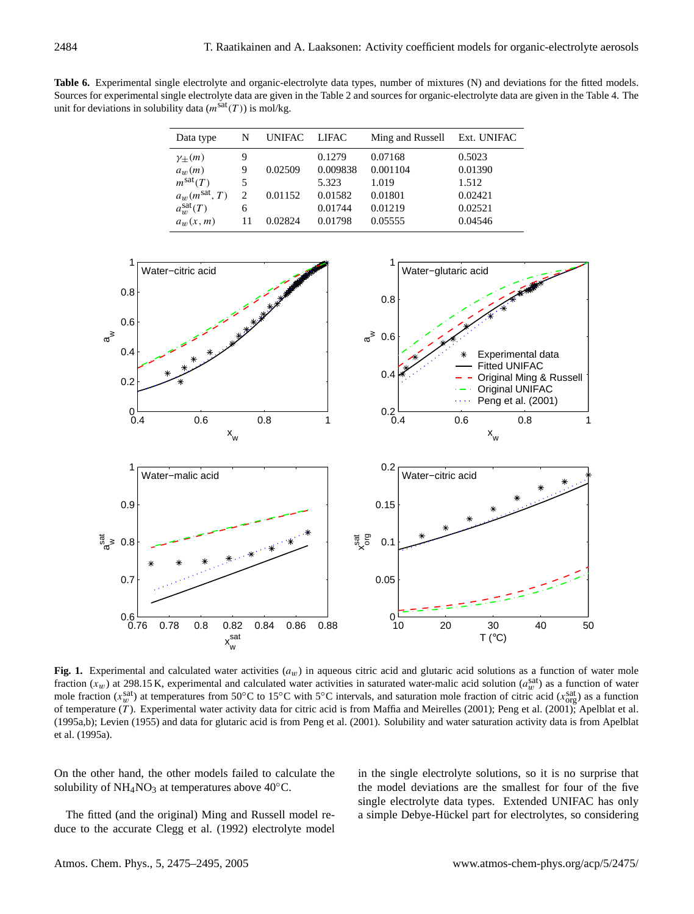<span id="page-9-1"></span>Table 6. Experimental single electrolyte and organic-electrolyte data types, number of mixtures (N) and deviations for the fitted models. Sources for experimental single electrolyte data are given in the Table [2](#page-4-0) and sources for organic-electrolyte data are given in the Table [4.](#page-7-0) The unit for deviations in solubility data ( $m<sup>sat</sup>(T)$ ) is mol/kg.

| Data type                | N              | <b>UNIFAC</b> | LIFAC    | Ming and Russell | Ext. UNIFAC |
|--------------------------|----------------|---------------|----------|------------------|-------------|
| $\gamma + (m)$           | 9              |               | 0.1279   | 0.07168          | 0.5023      |
| $a_w(m)$                 | 9              | 0.02509       | 0.009838 | 0.001104         | 0.01390     |
| $m^{\text{sat}}(T)$      | 5              |               | 5.323    | 1.019            | 1.512       |
| $a_w(m^{\text{sat}}, T)$ | $\mathfrak{D}$ | 0.01152       | 0.01582  | 0.01801          | 0.02421     |
| $a_w^{\text{sat}}(T)$    | 6              |               | 0.01744  | 0.01219          | 0.02521     |
| $a_w(x,m)$               |                | 0.02824       | 0.01798  | 0.05555          | 0.04546     |



<span id="page-9-0"></span>**Fig. 1.** Experimental and calculated water activities  $(a_w)$  in aqueous citric acid and glutaric acid solutions as a function of water mole fraction  $(x_w)$  at 298.15 K, experimental and calculated water activities in saturated water-malic acid solution  $(a_w^{\text{sat}})$  as a function of water mole fraction ( $x_w^{\text{sat}}$ ) at temperatures from 50°C to 15°C with 5°C intervals, and saturation mole fraction of citric acid ( $x_{\text{org}}^{\text{sat}}$ ) as a function of temperature (T). Experimental water activity data for citric acid is from [Maffia and Meirelles](#page-20-20) [\(2001\)](#page-20-8); [Peng et al.](#page-20-8) (2001); [Apelblat et al.](#page-19-23) [\(1995a](#page-19-23)[,b\)](#page-19-24); [Levien](#page-20-21) [\(1955\)](#page-20-21) and data for glutaric acid is from [Peng et al.](#page-20-8) [\(2001\)](#page-20-8). Solubility and water saturation activity data is from [Apelblat](#page-19-23) [et al.](#page-19-23) [\(1995a\)](#page-19-23).

On the other hand, the other models failed to calculate the solubility of  $NH_4NO_3$  at temperatures above 40 $°C$ .

The fitted (and the original) Ming and Russell model reduce to the accurate [Clegg et al.](#page-19-10) [\(1992\)](#page-19-10) electrolyte model in the single electrolyte solutions, so it is no surprise that the model deviations are the smallest for four of the five single electrolyte data types. Extended UNIFAC has only a simple Debye-Hückel part for electrolytes, so considering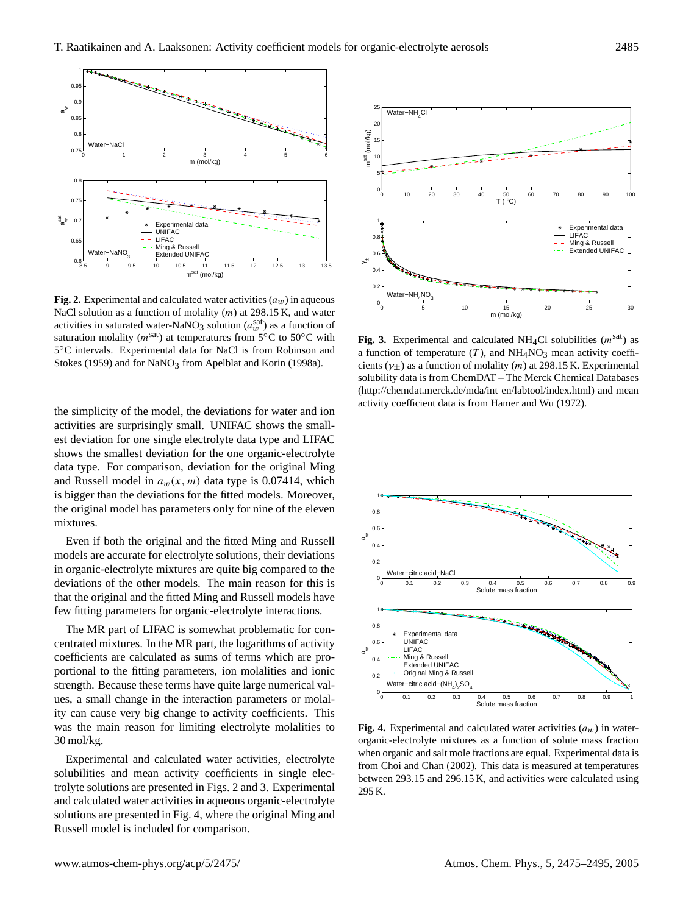

<span id="page-10-0"></span>**Fig. 2.** Experimental and calculated water activities  $(a_w)$  in aqueous NaCl solution as a function of molality  $(m)$  at 298.15 K, and water activities in saturated water-NaNO<sub>3</sub> solution  $(a_w^{\text{sat}})$  as a function of saturation molality ( $m<sup>sat</sup>$ ) at temperatures from 5<sup>°</sup>C to 50<sup>°</sup>C with 5 ◦C intervals. Experimental data for NaCl is from [Robinson and](#page-20-16) [Stokes](#page-20-16) [\(1959\)](#page-20-16) and for NaNO<sub>3</sub> from [Apelblat and Korin](#page-19-19) [\(1998a\)](#page-19-19).

the simplicity of the model, the deviations for water and ion activities are surprisingly small. UNIFAC shows the smallest deviation for one single electrolyte data type and LIFAC shows the smallest deviation for the one organic-electrolyte data type. For comparison, deviation for the original Ming and Russell model in  $a_w(x, m)$  data type is 0.07414, which is bigger than the deviations for the fitted models. Moreover, the original model has parameters only for nine of the eleven mixtures.

Even if both the original and the fitted Ming and Russell models are accurate for electrolyte solutions, their deviations in organic-electrolyte mixtures are quite big compared to the deviations of the other models. The main reason for this is that the original and the fitted Ming and Russell models have few fitting parameters for organic-electrolyte interactions.

The MR part of LIFAC is somewhat problematic for concentrated mixtures. In the MR part, the logarithms of activity coefficients are calculated as sums of terms which are proportional to the fitting parameters, ion molalities and ionic strength. Because these terms have quite large numerical values, a small change in the interaction parameters or molality can cause very big change to activity coefficients. This was the main reason for limiting electrolyte molalities to 30 mol/kg.

Experimental and calculated water activities, electrolyte solubilities and mean activity coefficients in single electrolyte solutions are presented in Figs. [2](#page-10-0) and [3.](#page-10-1) Experimental and calculated water activities in aqueous organic-electrolyte solutions are presented in Fig. [4,](#page-10-2) where the original Ming and Russell model is included for comparison.



<span id="page-10-1"></span>Fig. 3. Experimental and calculated NH<sub>4</sub>Cl solubilities  $(m<sup>sat</sup>)$  as a function of temperature  $(T)$ , and  $NH<sub>4</sub>NO<sub>3</sub>$  mean activity coefficients ( $\gamma_{\pm}$ ) as a function of molality (*m*) at 298.15 K. Experimental solubility data is from ChemDAT – The Merck Chemical Databases [\(http://chemdat.merck.de/mda/int](http://chemdat.merck.de/mda/int_en/labtool/index.html) en/labtool/index.html) and mean activity coefficient data is from [Hamer and Wu](#page-19-12) [\(1972\)](#page-19-12).



<span id="page-10-2"></span>**Fig. 4.** Experimental and calculated water activities  $(a_w)$  in waterorganic-electrolyte mixtures as a function of solute mass fraction when organic and salt mole fractions are equal. Experimental data is from [Choi and Chan](#page-19-25) [\(2002\)](#page-19-25). This data is measured at temperatures between 293.15 and 296.15 K, and activities were calculated using 295 K.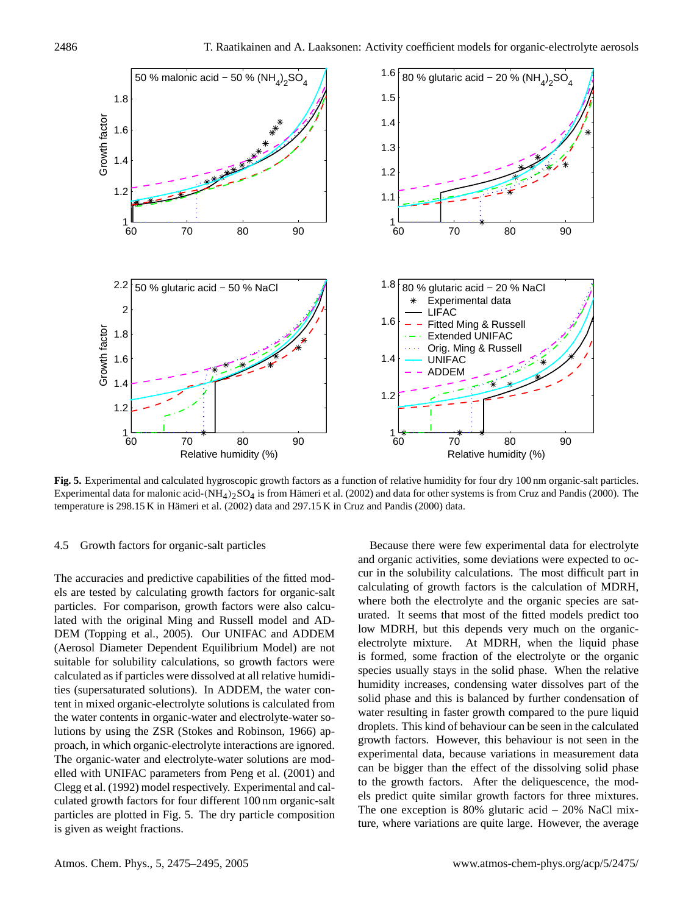

<span id="page-11-0"></span>**Fig. 5.** Experimental and calculated hygroscopic growth factors as a function of relative humidity for four dry 100 nm organic-salt particles. Experimental data for malonic acid- $(NH_4)$ <sub>2</sub>SO<sub>4</sub> is from Hämeri et al. [\(2002\)](#page-19-28) and data for other systems is from [Cruz and Pandis](#page-19-29) [\(2000\)](#page-19-29). The temperature is  $298.15$  K in Hämeri et al.  $(2002)$  data and  $297.15$  K in [Cruz and Pandis](#page-19-29)  $(2000)$  data.

# 4.5 Growth factors for organic-salt particles

The accuracies and predictive capabilities of the fitted models are tested by calculating growth factors for organic-salt particles. For comparison, growth factors were also calculated with the original Ming and Russell model and AD-DEM [\(Topping et al.,](#page-20-4) [2005\)](#page-20-4). Our UNIFAC and ADDEM (Aerosol Diameter Dependent Equilibrium Model) are not suitable for solubility calculations, so growth factors were calculated as if particles were dissolved at all relative humidities (supersaturated solutions). In ADDEM, the water content in mixed organic-electrolyte solutions is calculated from the water contents in organic-water and electrolyte-water solutions by using the ZSR [\(Stokes and Robinson,](#page-20-26) [1966\)](#page-20-26) approach, in which organic-electrolyte interactions are ignored. The organic-water and electrolyte-water solutions are modelled with UNIFAC parameters from [Peng et al.](#page-20-8) [\(2001\)](#page-20-8) and [Clegg et al.](#page-19-10) [\(1992\)](#page-19-10) model respectively. Experimental and calculated growth factors for four different 100 nm organic-salt particles are plotted in Fig. [5.](#page-11-0) The dry particle composition is given as weight fractions.

Because there were few experimental data for electrolyte and organic activities, some deviations were expected to occur in the solubility calculations. The most difficult part in calculating of growth factors is the calculation of MDRH, where both the electrolyte and the organic species are saturated. It seems that most of the fitted models predict too low MDRH, but this depends very much on the organicelectrolyte mixture. At MDRH, when the liquid phase is formed, some fraction of the electrolyte or the organic species usually stays in the solid phase. When the relative humidity increases, condensing water dissolves part of the solid phase and this is balanced by further condensation of water resulting in faster growth compared to the pure liquid droplets. This kind of behaviour can be seen in the calculated growth factors. However, this behaviour is not seen in the experimental data, because variations in measurement data can be bigger than the effect of the dissolving solid phase to the growth factors. After the deliquescence, the models predict quite similar growth factors for three mixtures. The one exception is  $80\%$  glutaric acid –  $20\%$  NaCl mixture, where variations are quite large. However, the average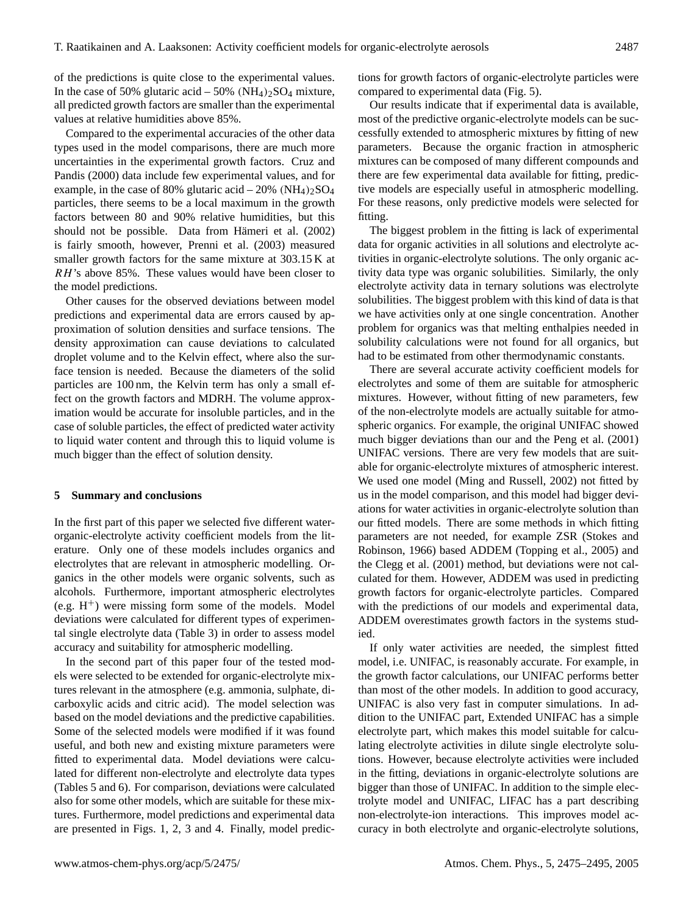of the predictions is quite close to the experimental values. In the case of 50% glutaric acid – 50% (NH<sub>4</sub>) $_2$ SO<sub>4</sub> mixture, all predicted growth factors are smaller than the experimental values at relative humidities above 85%.

Compared to the experimental accuracies of the other data types used in the model comparisons, there are much more uncertainties in the experimental growth factors. [Cruz and](#page-19-29) [Pandis](#page-19-29) [\(2000\)](#page-19-29) data include few experimental values, and for example, in the case of 80% glutaric acid  $-20\%$  (NH<sub>4</sub>)<sub>2</sub>SO<sub>4</sub> particles, there seems to be a local maximum in the growth factors between 80 and 90% relative humidities, but this should not be possible. Data from Hämeri et al. [\(2002\)](#page-19-28) is fairly smooth, however, [Prenni et al.](#page-20-27) [\(2003\)](#page-20-27) measured smaller growth factors for the same mixture at 303.15 K at RH's above 85%. These values would have been closer to the model predictions.

Other causes for the observed deviations between model predictions and experimental data are errors caused by approximation of solution densities and surface tensions. The density approximation can cause deviations to calculated droplet volume and to the Kelvin effect, where also the surface tension is needed. Because the diameters of the solid particles are 100 nm, the Kelvin term has only a small effect on the growth factors and MDRH. The volume approximation would be accurate for insoluble particles, and in the case of soluble particles, the effect of predicted water activity to liquid water content and through this to liquid volume is much bigger than the effect of solution density.

#### **5 Summary and conclusions**

In the first part of this paper we selected five different waterorganic-electrolyte activity coefficient models from the literature. Only one of these models includes organics and electrolytes that are relevant in atmospheric modelling. Organics in the other models were organic solvents, such as alcohols. Furthermore, important atmospheric electrolytes  $(e.g. H<sup>+</sup>)$  were missing form some of the models. Model deviations were calculated for different types of experimental single electrolyte data (Table [3\)](#page-5-0) in order to assess model accuracy and suitability for atmospheric modelling.

In the second part of this paper four of the tested models were selected to be extended for organic-electrolyte mixtures relevant in the atmosphere (e.g. ammonia, sulphate, dicarboxylic acids and citric acid). The model selection was based on the model deviations and the predictive capabilities. Some of the selected models were modified if it was found useful, and both new and existing mixture parameters were fitted to experimental data. Model deviations were calculated for different non-electrolyte and electrolyte data types (Tables [5](#page-8-1) and [6\)](#page-9-1). For comparison, deviations were calculated also for some other models, which are suitable for these mixtures. Furthermore, model predictions and experimental data are presented in Figs. [1,](#page-9-0) [2,](#page-10-0) [3](#page-10-1) and [4.](#page-10-2) Finally, model predictions for growth factors of organic-electrolyte particles were compared to experimental data (Fig. [5\)](#page-11-0).

Our results indicate that if experimental data is available, most of the predictive organic-electrolyte models can be successfully extended to atmospheric mixtures by fitting of new parameters. Because the organic fraction in atmospheric mixtures can be composed of many different compounds and there are few experimental data available for fitting, predictive models are especially useful in atmospheric modelling. For these reasons, only predictive models were selected for fitting.

The biggest problem in the fitting is lack of experimental data for organic activities in all solutions and electrolyte activities in organic-electrolyte solutions. The only organic activity data type was organic solubilities. Similarly, the only electrolyte activity data in ternary solutions was electrolyte solubilities. The biggest problem with this kind of data is that we have activities only at one single concentration. Another problem for organics was that melting enthalpies needed in solubility calculations were not found for all organics, but had to be estimated from other thermodynamic constants.

There are several accurate activity coefficient models for electrolytes and some of them are suitable for atmospheric mixtures. However, without fitting of new parameters, few of the non-electrolyte models are actually suitable for atmospheric organics. For example, the original UNIFAC showed much bigger deviations than our and the [Peng et al.](#page-20-8) [\(2001\)](#page-20-8) UNIFAC versions. There are very few models that are suitable for organic-electrolyte mixtures of atmospheric interest. We used one model [\(Ming and Russell,](#page-20-2) [2002\)](#page-20-2) not fitted by us in the model comparison, and this model had bigger deviations for water activities in organic-electrolyte solution than our fitted models. There are some methods in which fitting parameters are not needed, for example ZSR [\(Stokes and](#page-20-26) [Robinson,](#page-20-26) [1966\)](#page-20-26) based ADDEM [\(Topping et al.,](#page-20-4) [2005\)](#page-20-4) and the [Clegg et al.](#page-19-4) [\(2001\)](#page-19-4) method, but deviations were not calculated for them. However, ADDEM was used in predicting growth factors for organic-electrolyte particles. Compared with the predictions of our models and experimental data, ADDEM overestimates growth factors in the systems studied.

If only water activities are needed, the simplest fitted model, i.e. UNIFAC, is reasonably accurate. For example, in the growth factor calculations, our UNIFAC performs better than most of the other models. In addition to good accuracy, UNIFAC is also very fast in computer simulations. In addition to the UNIFAC part, Extended UNIFAC has a simple electrolyte part, which makes this model suitable for calculating electrolyte activities in dilute single electrolyte solutions. However, because electrolyte activities were included in the fitting, deviations in organic-electrolyte solutions are bigger than those of UNIFAC. In addition to the simple electrolyte model and UNIFAC, LIFAC has a part describing non-electrolyte-ion interactions. This improves model accuracy in both electrolyte and organic-electrolyte solutions,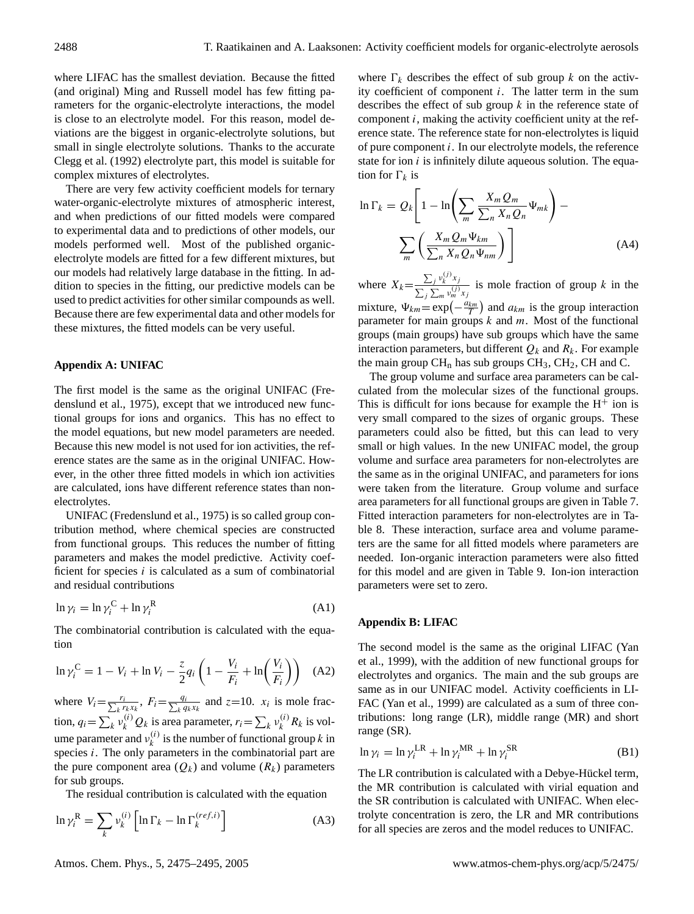where LIFAC has the smallest deviation. Because the fitted (and original) Ming and Russell model has few fitting parameters for the organic-electrolyte interactions, the model is close to an electrolyte model. For this reason, model deviations are the biggest in organic-electrolyte solutions, but small in single electrolyte solutions. Thanks to the accurate [Clegg et al.](#page-19-10) [\(1992\)](#page-19-10) electrolyte part, this model is suitable for complex mixtures of electrolytes.

There are very few activity coefficient models for ternary water-organic-electrolyte mixtures of atmospheric interest, and when predictions of our fitted models were compared to experimental data and to predictions of other models, our models performed well. Most of the published organicelectrolyte models are fitted for a few different mixtures, but our models had relatively large database in the fitting. In addition to species in the fitting, our predictive models can be used to predict activities for other similar compounds as well. Because there are few experimental data and other models for these mixtures, the fitted models can be very useful.

## **Appendix A: UNIFAC**

The first model is the same as the original UNIFAC [\(Fre](#page-19-1)[denslund et al.,](#page-19-1) [1975\)](#page-19-1), except that we introduced new functional groups for ions and organics. This has no effect to the model equations, but new model parameters are needed. Because this new model is not used for ion activities, the reference states are the same as in the original UNIFAC. However, in the other three fitted models in which ion activities are calculated, ions have different reference states than nonelectrolytes.

UNIFAC [\(Fredenslund et al.,](#page-19-1) [1975\)](#page-19-1) is so called group contribution method, where chemical species are constructed from functional groups. This reduces the number of fitting parameters and makes the model predictive. Activity coefficient for species  $i$  is calculated as a sum of combinatorial and residual contributions

$$
\ln \gamma_i = \ln \gamma_i^{\mathcal{C}} + \ln \gamma_i^{\mathcal{R}}
$$
 (A1)

The combinatorial contribution is calculated with the equation

$$
\ln \gamma_i^{\rm C} = 1 - V_i + \ln V_i - \frac{z}{2} q_i \left( 1 - \frac{V_i}{F_i} + \ln \left( \frac{V_i}{F_i} \right) \right) \quad (A2)
$$

where  $V_i = \frac{r_i}{\sum_k r_k x_k}$ ,  $F_i = \frac{q_i}{\sum_k q_i}$  $\frac{q_i}{k q_k x_k}$  and  $z=10$ .  $x_i$  is mole fraction,  $q_i = \sum_k v_k^{(i)} Q_k$  is area parameter,  $r_i = \sum_k v_k^{(i)} R_k$  is volume parameter and  $v_k^{(i)}$  $\binom{u}{k}$  is the number of functional group k in species  $i$ . The only parameters in the combinatorial part are the pure component area  $(Q_k)$  and volume  $(R_k)$  parameters for sub groups.

The residual contribution is calculated with the equation

$$
\ln \gamma_i^{\mathcal{R}} = \sum_k \nu_k^{(i)} \left[ \ln \Gamma_k - \ln \Gamma_k^{(ref,i)} \right] \tag{A3}
$$

where  $\Gamma_k$  describes the effect of sub group k on the activity coefficient of component  $i$ . The latter term in the sum describes the effect of sub group  $k$  in the reference state of component  $i$ , making the activity coefficient unity at the reference state. The reference state for non-electrolytes is liquid of pure component i. In our electrolyte models, the reference state for ion  $i$  is infinitely dilute aqueous solution. The equation for  $\Gamma_k$  is

$$
\ln \Gamma_k = Q_k \left[ 1 - \ln \left( \sum_m \frac{X_m Q_m}{\sum_n X_n Q_n} \Psi_{mk} \right) - \frac{\sum_n \left( \frac{X_m Q_m \Psi_{km}}{\sum_n X_n Q_n \Psi_{km}} \right)} \right]
$$
\n(A4)

where  $X_k = \frac{\sum_j v_k^{(j)} x_j}{\sum_j \sum_j v_j^{(j)}}$  $\frac{\sum_j v_k x_j}{\sum_j \sum_m v_m^{(j)} x_j}$  is mole fraction of group k in the mixture,  $\Psi_{km} = \exp\left(-\frac{a_{km}}{T}\right)$  and  $a_{km}$  is the group interaction parameter for main groups  $k$  and  $m$ . Most of the functional groups (main groups) have sub groups which have the same interaction parameters, but different  $Q_k$  and  $R_k$ . For example the main group  $CH_n$  has sub groups  $CH_3$ ,  $CH_2$ , CH and C.

The group volume and surface area parameters can be calculated from the molecular sizes of the functional groups. This is difficult for ions because for example the  $H^+$  ion is very small compared to the sizes of organic groups. These parameters could also be fitted, but this can lead to very small or high values. In the new UNIFAC model, the group volume and surface area parameters for non-electrolytes are the same as in the original UNIFAC, and parameters for ions were taken from the literature. Group volume and surface area parameters for all functional groups are given in Table [7.](#page-14-0) Fitted interaction parameters for non-electrolytes are in Table [8.](#page-14-1) These interaction, surface area and volume parameters are the same for all fitted models where parameters are needed. Ion-organic interaction parameters were also fitted for this model and are given in Table [9.](#page-15-0) Ion-ion interaction parameters were set to zero.

## **Appendix B: LIFAC**

The second model is the same as the original LIFAC [\(Yan](#page-20-10) [et al.,](#page-20-10) [1999\)](#page-20-10), with the addition of new functional groups for electrolytes and organics. The main and the sub groups are same as in our UNIFAC model. Activity coefficients in LI-FAC [\(Yan et al.,](#page-20-10) [1999\)](#page-20-10) are calculated as a sum of three contributions: long range (LR), middle range (MR) and short range (SR).

$$
\ln \gamma_i = \ln \gamma_i^{LR} + \ln \gamma_i^{MR} + \ln \gamma_i^{SR}
$$
 (B1)

The LR contribution is calculated with a Debye-Hückel term, the MR contribution is calculated with virial equation and the SR contribution is calculated with UNIFAC. When electrolyte concentration is zero, the LR and MR contributions for all species are zeros and the model reduces to UNIFAC.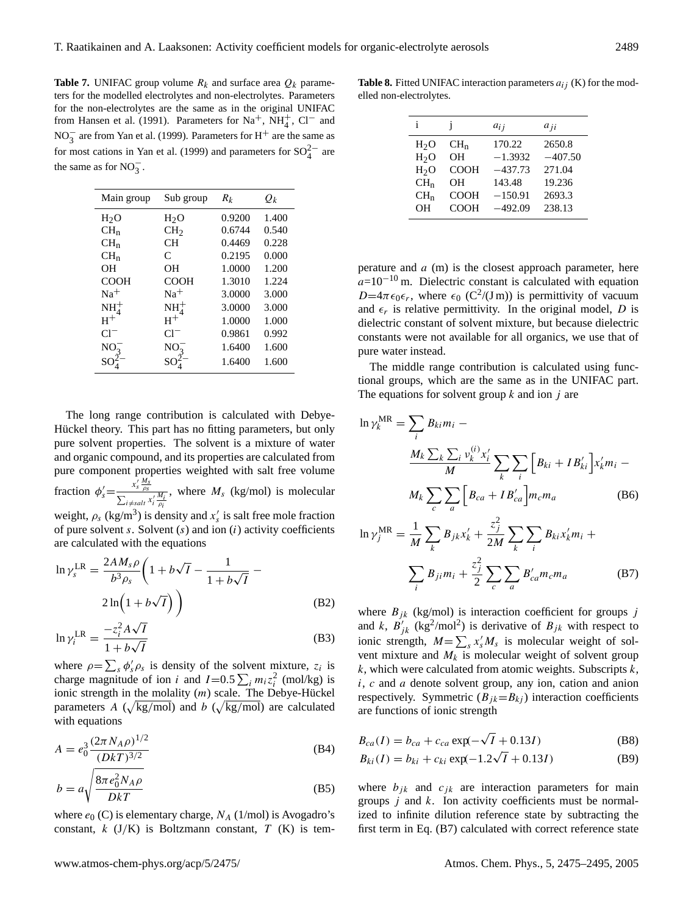<span id="page-14-0"></span>**Table 7.** UNIFAC group volume  $R_k$  and surface area  $Q_k$  parameters for the modelled electrolytes and non-electrolytes. Parameters for the non-electrolytes are the same as in the original UNIFAC from [Hansen et al.](#page-19-27) [\(1991\)](#page-19-27). Parameters for  $Na^+$ ,  $NH_4^+$ ,  $Cl^-$  and NO<sub>3</sub> are from [Yan et al.](#page-20-10) [\(1999\)](#page-20-10). Parameters for H<sup>+</sup> are the same as for most cations in [Yan et al.](#page-20-10) [\(1999\)](#page-20-10) and parameters for  $SO_4^{2-}$  are the same as for  $NO_3^-$ .

| Main group       | Sub group        | $R_k$  | $Q_k$ |
|------------------|------------------|--------|-------|
| H <sub>2</sub> O | H <sub>2</sub> O | 0.9200 | 1.400 |
| $CH_n$           | CH <sub>2</sub>  | 0.6744 | 0.540 |
| $CH_n$           | <b>CH</b>        | 0.4469 | 0.228 |
| $CH_n$           | C                | 0.2195 | 0.000 |
| OН               | OН               | 1.0000 | 1.200 |
| <b>COOH</b>      | <b>COOH</b>      | 1.3010 | 1.224 |
| $Na+$            | $Na+$            | 3.0000 | 3.000 |
| $NH4+$           | $NH4+$           | 3.0000 | 3.000 |
| $\rm H^+$        | $H^+$            | 1.0000 | 1.000 |
| $Cl-$            | $Cl-$            | 0.9861 | 0.992 |
| NO <sub>2</sub>  | NO <sub>2</sub>  | 1.6400 | 1.600 |
|                  |                  | 1.6400 | 1.600 |

The long range contribution is calculated with Debye-Hückel theory. This part has no fitting parameters, but only pure solvent properties. The solvent is a mixture of water and organic compound, and its properties are calculated from pure component properties weighted with salt free volume fraction  $\phi'_{s} = \frac{x'_{s} \frac{M_{s}}{\rho_{s}}}{\sum_{s}$  $\sum_{i \neq salt} x'_i \frac{M_i}{\rho_i}$ , where  $M_s$  (kg/mol) is molecular weight,  $\rho_s$  (kg/m<sup>3</sup>) is density and  $x'_s$  is salt free mole fraction of pure solvent  $s$ . Solvent  $(s)$  and ion  $(i)$  activity coefficients

$$
\ln \gamma_s^{\text{LR}} = \frac{2AM_s\rho}{b^3\rho_s} \left(1 + b\sqrt{I} - \frac{1}{1 + b\sqrt{I}} - 2\ln\left(1 + b\sqrt{I}\right)\right)
$$
(B2)

are calculated with the equations

$$
\ln \gamma_i^{\text{LR}} = \frac{-z_i^2 A \sqrt{I}}{1 + b\sqrt{I}}
$$
 (B3)

where  $\rho = \sum_s \phi'_s \rho_s$  is density of the solvent mixture,  $z_i$  is charge magnitude of ion *i* and  $I=0.5\sum_i m_i z_i^2$  (mol/kg) is ionic strength in the molality  $(m)$  scale. The Debye-Hückel parameters A ( $\sqrt{\text{kg/mol}}$ ) and b ( $\sqrt{\text{kg/mol}}$ ) are calculated with equations

$$
A = e_0^3 \frac{(2\pi N_A \rho)^{1/2}}{(DkT)^{3/2}}
$$
 (B4)

$$
b = a \sqrt{\frac{8\pi e_0^2 N_A \rho}{D kT}}
$$
(B5)

where  $e_0$  (C) is elementary charge,  $N_A$  (1/mol) is Avogadro's constant,  $k$  (J/K) is Boltzmann constant, T (K) is tem-

**Table 8.** Fitted UNIFAC interaction parameters  $a_{ij}$  (K) for the modelled non-electrolytes.

<span id="page-14-1"></span>

| i                | 1           | $a_{ij}$  | $a_{ii}$  |
|------------------|-------------|-----------|-----------|
| H <sub>2</sub> O | $CH_n$      | 170.22    | 2650.8    |
| H <sub>2</sub> O | OН          | $-1.3932$ | $-407.50$ |
| H <sub>2</sub> O | <b>COOH</b> | $-437.73$ | 271.04    |
| CH <sub>n</sub>  | OН          | 143.48    | 19.236    |
| CH <sub>n</sub>  | <b>COOH</b> | $-150.91$ | 2693.3    |
| OН               | <b>COOH</b> | $-492.09$ | 238.13    |

perature and  $a$  (m) is the closest approach parameter, here  $a=10^{-10}$  m. Dielectric constant is calculated with equation  $D=4\pi\epsilon_0\epsilon_r$ , where  $\epsilon_0$  (C<sup>2</sup>/(J m)) is permittivity of vacuum and  $\epsilon_r$  is relative permittivity. In the original model, D is dielectric constant of solvent mixture, but because dielectric constants were not available for all organics, we use that of pure water instead.

The middle range contribution is calculated using functional groups, which are the same as in the UNIFAC part. The equations for solvent group  $k$  and ion  $j$  are

<span id="page-14-2"></span>
$$
\ln \gamma_k^{\text{MR}} = \sum_i B_{ki} m_i -
$$
\n
$$
\frac{M_k \sum_k \sum_i v_k^{(i)} x_i'}{M} \sum_k \sum_i \left[ B_{ki} + IB'_{ki} \right] x_i' m_i -
$$
\n
$$
M_k \sum_c \sum_a \left[ B_{ca} + IB'_{ca} \right] m_c m_a \tag{B6}
$$
\n
$$
\ln \gamma_{\text{MR}}^{\text{MR}} = \frac{1}{N} \sum_i B_{ik} x_i' + \frac{z_j^2}{N} \sum_i \sum_j B_{ki} x_i' m_i +
$$

$$
n \gamma_j^{MR} = \frac{1}{M} \sum_k B_{jk} x'_k + \frac{z_j}{2M} \sum_k \sum_i B_{ki} x'_k m_i + \sum_i B_{ji} m_i + \frac{z_j^2}{2} \sum_c \sum_a B'_{ca} m_c m_a \tag{B7}
$$

where  $B_{jk}$  (kg/mol) is interaction coefficient for groups j and k,  $B'_{jk}$  (kg<sup>2</sup>/mol<sup>2</sup>) is derivative of  $B_{jk}$  with respect to ionic strength,  $M = \sum_s x'_s M_s$  is molecular weight of solvent mixture and  $M_k$  is molecular weight of solvent group  $k$ , which were calculated from atomic weights. Subscripts  $k$ ,  $i, c$  and  $a$  denote solvent group, any ion, cation and anion respectively. Symmetric  $(B_{jk}=B_{kj})$  interaction coefficients are functions of ionic strength

$$
B_{ca}(I) = b_{ca} + c_{ca} \exp(-\sqrt{I} + 0.13I)
$$
 (B8)

$$
B_{ki}(I) = b_{ki} + c_{ki} \exp(-1.2\sqrt{I} + 0.13I)
$$
 (B9)

where  $b_{jk}$  and  $c_{jk}$  are interaction parameters for main groups  $j$  and  $k$ . Ion activity coefficients must be normalized to infinite dilution reference state by subtracting the first term in Eq. [\(B7\)](#page-14-2) calculated with correct reference state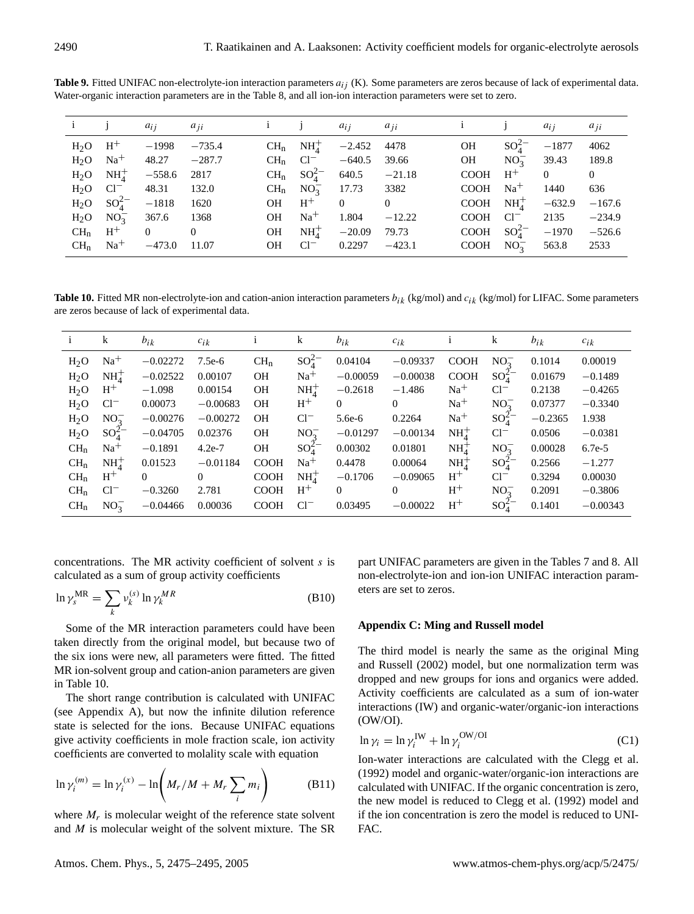<span id="page-15-0"></span>

| $\mathbf{i}$     | $\mathbf{1}$                        | $a_{ij}$                 | $a_{ji}$       |                 |             | $a_{ij}$       | $a_{ji}$       |             |                 | $a_{ij}$        | $a_{ji}$       |
|------------------|-------------------------------------|--------------------------|----------------|-----------------|-------------|----------------|----------------|-------------|-----------------|-----------------|----------------|
| H <sub>2</sub> O | $H^+$                               | $-1998$                  | $-735.4$       | CH <sub>n</sub> | $NH4+$      | $-2.452$       | 4478           | OH          | $SO_4^{2-}$     | $-1877$         | 4062           |
| H <sub>2</sub> O | Na <sup>+</sup>                     | $48.27 -287.7$           |                | $CH_n$          | $Cl^-$      | $-640.5$       | 39.66          | <b>OH</b>   | $NO_2^-$        | 39.43           | 189.8          |
|                  | $H_2O$ NH <sub>4</sub> <sup>+</sup> | $-558.6$                 | 2817           | $CH_n$          | $SO_4^{2-}$ |                | $640.5 -21.18$ | <b>COOH</b> | $H^+$           | $\overline{0}$  | $\overline{0}$ |
| H <sub>2</sub> O | $Cl^-$                              | 48.31                    | 132.0          | $CH_n$          | $NO_2^-$    | 17.73          | 3382           | COOH        | Na <sup>+</sup> | 1440            | 636            |
|                  | $H_2O$ $SO_4^{2-}$                  | $-1818$                  | 1620           | OH.             | $H^+$       | $\overline{0}$ | $\overline{0}$ | <b>COOH</b> |                 | $NH_4^+$ -632.9 | $-167.6$       |
| H <sub>2</sub> O | $NO_2^-$                            | 367.6                    | 1368           | OH              | $Na+$       | 1.804          | $-12.22$       | <b>COOH</b> | $Cl^-$          | 2135            | $-234.9$       |
| CH <sub>n</sub>  | $H^+$                               | $\overline{\phantom{0}}$ | $\overline{0}$ | <b>OH</b>       | $NH4+$      | $-20.09$       | 79.73          | COOH        | $SO_4^{2-}$     | $-1970$         | $-526.6$       |
| CH <sub>n</sub>  | $Na+$                               | $-473.0$                 | 11.07          | OН              | $Cl^-$      | 0.2297         | $-423.1$       | <b>COOH</b> | $NO_2^-$        | 563.8           | 2533           |

**Table 9.** Fitted UNIFAC non-electrolyte-ion interaction parameters  $a_{ij}$  (K). Some parameters are zeros because of lack of experimental data. Water-organic interaction parameters are in the Table [8,](#page-14-1) and all ion-ion interaction parameters were set to zero.

<span id="page-15-1"></span>**Table 10.** Fitted MR non-electrolyte-ion and cation-anion interaction parameters  $b_{ik}$  (kg/mol) and  $c_{ik}$  (kg/mol) for LIFAC. Some parameters are zeros because of lack of experimental data.

| j.               | k               | $b_{ik}$   | $c_{ik}$   |                 | k               | $b_{ik}$   | $c_{ik}$   |             | k               | $b_{ik}$  | $c_{ik}$   |
|------------------|-----------------|------------|------------|-----------------|-----------------|------------|------------|-------------|-----------------|-----------|------------|
| H <sub>2</sub> O | $Na+$           | $-0.02272$ | $7.5e-6$   | CH <sub>n</sub> | $SO_4^2$        | 0.04104    | $-0.09337$ | <b>COOH</b> | NO <sub>2</sub> | 0.1014    | 0.00019    |
| H <sub>2</sub> O | $NH4+$          | $-0.02522$ | 0.00107    | <b>OH</b>       | $Na+$           | $-0.00059$ | $-0.00038$ | <b>COOH</b> | $SO_4^{2-}$     | 0.01679   | $-0.1489$  |
| H <sub>2</sub> O | $H^+$           | $-1.098$   | 0.00154    | <b>OH</b>       | $NH4+$          | $-0.2618$  | $-1.486$   | $Na+$       | $Cl^{-}$        | 0.2138    | $-0.4265$  |
| H <sub>2</sub> O | $Cl^-$          | 0.00073    | $-0.00683$ | <b>OH</b>       | $\rm H^+$       | $\Omega$   | $\Omega$   | $Na+$       | NO <sub>2</sub> | 0.07377   | $-0.3340$  |
| H <sub>2</sub> O | NO <sub>2</sub> | $-0.00276$ | $-0.00272$ | <b>OH</b>       | $Cl^-$          | $5.6e-6$   | 0.2264     | $Na+$       | $SO_4^2$        | $-0.2365$ | 1.938      |
| H <sub>2</sub> O | $SO_4^2$        | $-0.04705$ | 0.02376    | <b>OH</b>       | NO <sub>2</sub> | $-0.01297$ | $-0.00134$ | $NH4+$      | $Cl^{-}$        | 0.0506    | $-0.0381$  |
| CH <sub>n</sub>  | $Na+$           | $-0.1891$  | $4.2e-7$   | <b>OH</b>       | $SO_4^2$        | 0.00302    | 0.01801    | $NH4+$      | NO <sub>2</sub> | 0.00028   | $6.7e-5$   |
| CH <sub>n</sub>  | $NH4+$          | 0.01523    | $-0.01184$ | <b>COOH</b>     | $Na+$           | 0.4478     | 0.00064    | $NH4+$      | $SO_4^2$        | 0.2566    | $-1.277$   |
| $CH_n$           | $H^+$           | $\Omega$   | $\theta$   | <b>COOH</b>     | $NH+$           | $-0.1706$  | $-0.09065$ | $\rm H^+$   | $Cl^-$          | 0.3294    | 0.00030    |
| CH <sub>n</sub>  | $Cl^{-}$        | $-0.3260$  | 2.781      | <b>COOH</b>     | $\rm H^+$       | $\Omega$   | $\Omega$   | $H^+$       | NO <sub>2</sub> | 0.2091    | $-0.3806$  |
| CH <sub>n</sub>  | $NO_2^-$        | $-0.04466$ | 0.00036    | <b>COOH</b>     | $Cl^-$          | 0.03495    | $-0.00022$ | $H+$        | $SO_4^2$        | 0.1401    | $-0.00343$ |

concentrations. The MR activity coefficient of solvent s is calculated as a sum of group activity coefficients

$$
\ln \gamma_s^{\text{MR}} = \sum_k \nu_k^{(s)} \ln \gamma_k^{MR} \tag{B10}
$$

Some of the MR interaction parameters could have been taken directly from the original model, but because two of the six ions were new, all parameters were fitted. The fitted MR ion-solvent group and cation-anion parameters are given in Table [10.](#page-15-1)

The short range contribution is calculated with UNIFAC (see Appendix A), but now the infinite dilution reference state is selected for the ions. Because UNIFAC equations give activity coefficients in mole fraction scale, ion activity coefficients are converted to molality scale with equation

<span id="page-15-2"></span>
$$
\ln \gamma_i^{(m)} = \ln \gamma_i^{(x)} - \ln \left( M_r / M + M_r \sum_i m_i \right)
$$
 (B11)

where  $M_r$  is molecular weight of the reference state solvent and M is molecular weight of the solvent mixture. The SR part UNIFAC parameters are given in the Tables [7](#page-14-0) and [8.](#page-14-1) All non-electrolyte-ion and ion-ion UNIFAC interaction parameters are set to zeros.

# **Appendix C: Ming and Russell model**

The third model is nearly the same as the original [Ming](#page-20-2) [and Russell](#page-20-2) [\(2002\)](#page-20-2) model, but one normalization term was dropped and new groups for ions and organics were added. Activity coefficients are calculated as a sum of ion-water interactions (IW) and organic-water/organic-ion interactions (OW/OI).

$$
\ln \gamma_i = \ln \gamma_i^{\text{IW}} + \ln \gamma_i^{\text{OW/OI}} \tag{C1}
$$

Ion-water interactions are calculated with the [Clegg et al.](#page-19-10) [\(1992\)](#page-19-10) model and organic-water/organic-ion interactions are calculated with UNIFAC. If the organic concentration is zero, the new model is reduced to [Clegg et al.](#page-19-10) [\(1992\)](#page-19-10) model and if the ion concentration is zero the model is reduced to UNI-FAC.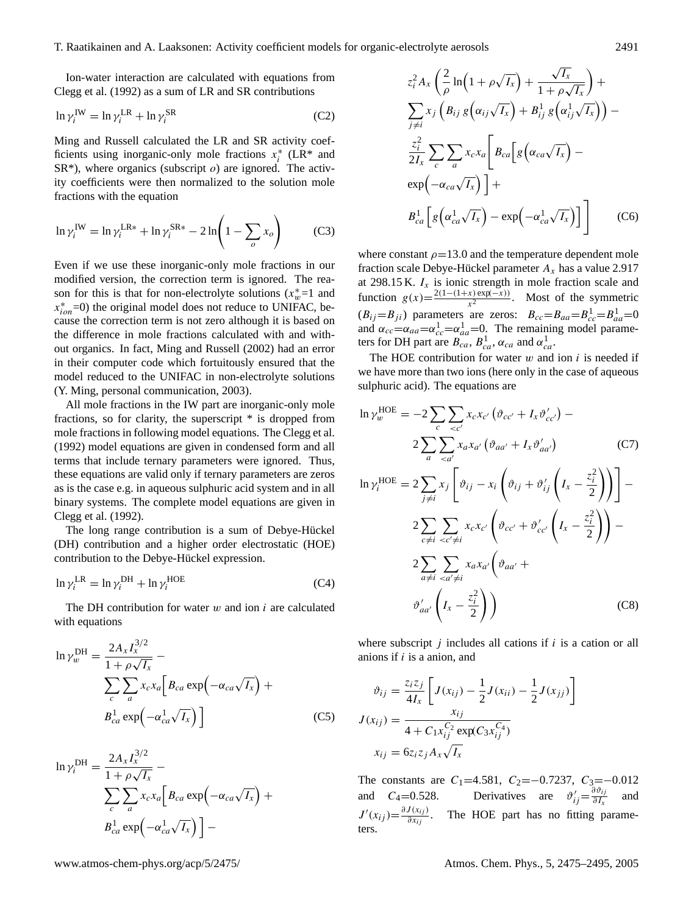Ion-water interaction are calculated with equations from [Clegg et al.](#page-19-10) [\(1992\)](#page-19-10) as a sum of LR and SR contributions

$$
\ln \gamma_i^{\text{IW}} = \ln \gamma_i^{\text{LR}} + \ln \gamma_i^{\text{SR}} \tag{C2}
$$

Ming and Russell calculated the LR and SR activity coefficients using inorganic-only mole fractions  $x_i^*$  (LR\* and  $SR^*$ ), where organics (subscript  $o$ ) are ignored. The activity coefficients were then normalized to the solution mole fractions with the equation

$$
\ln \gamma_i^{\text{IW}} = \ln \gamma_i^{\text{LR}*} + \ln \gamma_i^{\text{SR}*} - 2\ln\left(1 - \sum_o x_o\right) \tag{C3}
$$

Even if we use these inorganic-only mole fractions in our modified version, the correction term is ignored. The reason for this is that for non-electrolyte solutions  $(x_w^* = 1$  and  $x_{ion}^*$ =0) the original model does not reduce to UNIFAC, because the correction term is not zero although it is based on the difference in mole fractions calculated with and without organics. In fact, [Ming and Russell](#page-20-2) [\(2002\)](#page-20-2) had an error in their computer code which fortuitously ensured that the model reduced to the UNIFAC in non-electrolyte solutions (Y. Ming, personal communication, 2003).

All mole fractions in the IW part are inorganic-only mole fractions, so for clarity, the superscript \* is dropped from mole fractions in following model equations. The [Clegg et al.](#page-19-10) [\(1992\)](#page-19-10) model equations are given in condensed form and all terms that include ternary parameters were ignored. Thus, these equations are valid only if ternary parameters are zeros as is the case e.g. in aqueous sulphuric acid system and in all binary systems. The complete model equations are given in [Clegg et al.](#page-19-10) [\(1992\)](#page-19-10).

The long range contribution is a sum of Debye-Hückel (DH) contribution and a higher order electrostatic (HOE) contribution to the Debye-Hückel expression.

$$
\ln \gamma_i^{\text{LR}} = \ln \gamma_i^{\text{DH}} + \ln \gamma_i^{\text{HOE}} \tag{C4}
$$

The DH contribution for water  $w$  and ion  $i$  are calculated with equations

$$
\ln \gamma_w^{\text{DH}} = \frac{2A_x I_x^{3/2}}{1 + \rho \sqrt{I_x}} - \frac{\sum_{c} \sum_{a} x_{c} x_{a} \Big[ B_{ca} \exp\Big(-\alpha_{ca} \sqrt{I_x}\Big) + B_{ca}^{1} \exp\Big(-\alpha_{ca}^{1} \sqrt{I_x}\Big) \Big] \tag{C5}
$$

$$
\ln \gamma_i^{\text{DH}} = \frac{2A_x I_x^{3/2}}{1 + \rho \sqrt{I_x}} - \frac{\sum_{c} \sum_{a} x_c x_a \Big[ B_{ca} \exp(-\alpha_{ca} \sqrt{I_x}) + B_{ca}^1 \exp(-\alpha_{ca}^1 \sqrt{I_x}) \Big] -
$$

$$
z_i^2 A_x \left(\frac{2}{\rho} \ln\left(1 + \rho \sqrt{I_x}\right) + \frac{\sqrt{I_x}}{1 + \rho \sqrt{I_x}}\right) +
$$
  
\n
$$
\sum_{j \neq i} x_j \left(B_{ij} g\left(\alpha_{ij} \sqrt{I_x}\right) + B_{ij}^1 g\left(\alpha_{ij}^1 \sqrt{I_x}\right)\right) -
$$
  
\n
$$
\frac{z_i^2}{2I_x} \sum_c \sum_a x_c x_a \left[B_{ca} \left[g\left(\alpha_{ca} \sqrt{I_x}\right) - \exp\left(-\alpha_{ca}^1 \sqrt{I_x}\right)\right]\right]
$$
  
\n
$$
B_{ca}^1 \left[g\left(\alpha_{ca}^1 \sqrt{I_x}\right) - \exp\left(-\alpha_{ca}^1 \sqrt{I_x}\right)\right]\right]
$$
 (C6)

where constant  $\rho=13.0$  and the temperature dependent mole fraction scale Debye-Hückel parameter  $A_x$  has a value 2.917 at 298.15 K.  $I_x$  is ionic strength in mole fraction scale and function  $g(x) = \frac{2(1-(1+x)\exp(-x))}{x^2}$  $\frac{x}{x^2}$ . Most of the symmetric  $(B_{ij}=B_{ji})$  parameters are zeros:  $B_{cc}=B_{aa}=B_{cc}^1=B_{aa}^1=0$ and  $\alpha_{cc} = \alpha_{aa} = \alpha_{cc}^1 = \alpha_{aa}^1 = 0$ . The remaining model parameters for DH part are  $B_{ca}$ ,  $B_{ca}^1$ ,  $\alpha_{ca}$  and  $\alpha_{ca}^1$ .

The HOE contribution for water  $w$  and ion  $i$  is needed if we have more than two ions (here only in the case of aqueous sulphuric acid). The equations are

$$
\ln \gamma_w^{\text{HOE}} = -2 \sum_{c} \sum_{c' \lt c'} x_c x_{c'} \left( \vartheta_{cc'} + I_x \vartheta'_{cc'} \right) -
$$
\n
$$
2 \sum_{a} \sum_{c' \lt a'} x_a x_{a'} \left( \vartheta_{aa'} + I_x \vartheta'_{aa'} \right) \tag{C7}
$$
\n
$$
\ln \gamma_i^{\text{HOE}} = 2 \sum_{j \neq i} x_j \left[ \vartheta_{ij} - x_i \left( \vartheta_{ij} + \vartheta'_{ij} \left( I_x - \frac{z_i^2}{2} \right) \right) \right] -
$$
\n
$$
2 \sum_{c \neq i} \sum_{c' \neq i} x_c x_{c'} \left( \vartheta_{cc'} + \vartheta'_{cc'} \left( I_x - \frac{z_i^2}{2} \right) \right) -
$$
\n
$$
2 \sum_{a \neq i} \sum_{c' \neq i} x_a x_{a'} \left( \vartheta_{aa'} +
$$
\n
$$
\vartheta'_{aa'} \left( I_x - \frac{z_i^2}{2} \right) \right) \tag{C8}
$$

where subscript  $j$  includes all cations if  $i$  is a cation or all anions if  $i$  is a anion, and

$$
\vartheta_{ij} = \frac{z_i z_j}{4I_x} \left[ J(x_{ij}) - \frac{1}{2} J(x_{ii}) - \frac{1}{2} J(x_{jj}) \right]
$$
  

$$
J(x_{ij}) = \frac{x_{ij}}{4 + C_1 x_{ij}^{C_2} \exp(C_3 x_{ij}^{C_4})}
$$
  

$$
x_{ij} = 6z_i z_j A_x \sqrt{I_x}
$$

The constants are  $C_1$ =4.581,  $C_2$ =-0.7237,  $C_3$ =-0.012 and  $C_4=0.528$ . Derivatives are  $\vartheta'_{ij} = \frac{\partial \vartheta_{ij}}{\partial I_x}$  $\frac{\partial v_{ij}}{\partial I_x}$  and  $J'(x_{ij}) = \frac{\partial J(x_{ij})}{\partial x_{ij}}$  $\frac{\partial (x_{ij})}{\partial x_{ij}}$ . The HOE part has no fitting parameters.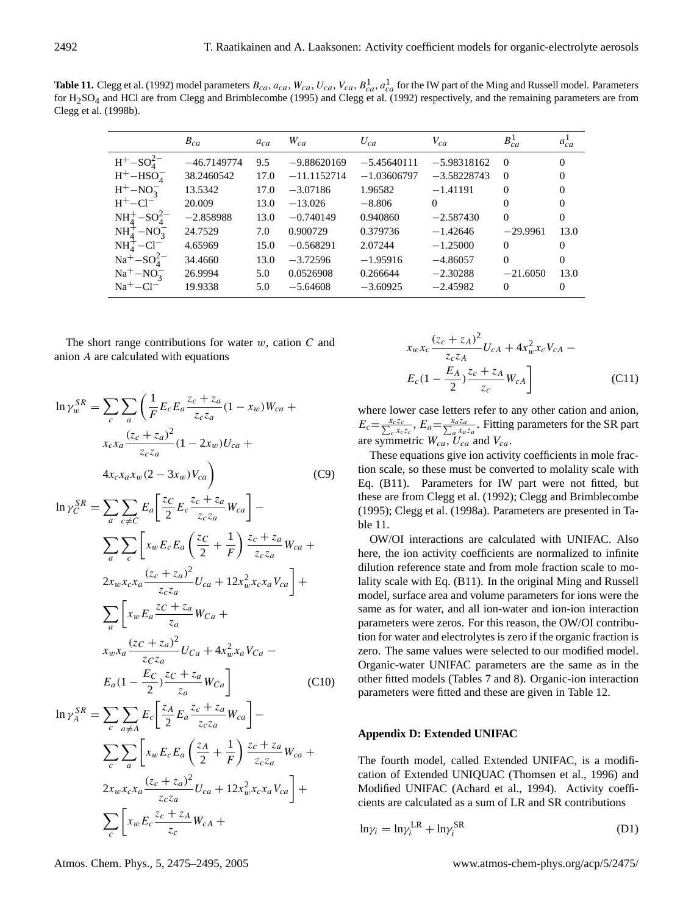**Table 11.** [Clegg et al.](#page-19-10) [\(1992\)](#page-19-10) model parameters  $B_{ca}$ ,  $a_{ca}$ ,  $W_{ca}$ ,  $U_{ca}$ ,  $V_{ca}$ ,  $B_{ca}^1$ ,  $a_{ca}^1$  for the IW part of the Ming and Russell model. Parameters for H2SO4 and HCl are from [Clegg and Brimblecombe](#page-19-30) [\(1995\)](#page-19-30) and [Clegg et al.](#page-19-10) [\(1992\)](#page-19-10) respectively, and the remaining parameters are from [Clegg et al.](#page-19-7) [\(1998b\)](#page-19-7).

<span id="page-17-0"></span>

|                          | $B_{ca}$      | $a_{ca}$ | $W_{ca}$      | $U_{ca}$      | $V_{ca}$      | $B_{ca}^1$   | $a_{ca}^1$ |
|--------------------------|---------------|----------|---------------|---------------|---------------|--------------|------------|
| $H^+ - SO_4^{2-}$        | $-46.7149774$ | 9.5      | $-9.88620169$ | $-5.45640111$ | $-5.98318162$ | $\Omega$     | $\Omega$   |
| $H^+$ -HSO $_A^-$        | 38.2460542    | 17.0     | $-11.1152714$ | $-1.03606797$ | $-3.58228743$ | $\Omega$     |            |
| $H^{+}$ -NO <sub>3</sub> | 13.5342       | 17.0     | $-3.07186$    | 1.96582       | $-1.41191$    | $\theta$     |            |
| $H^+$ -Cl <sup>-</sup>   | 20.009        | 13.0     | $-13.026$     | $-8.806$      | $\Omega$      | $\mathbf{0}$ |            |
| $NH_4^+ - SO_4^{2-}$     | $-2.858988$   | 13.0     | $-0.740149$   | 0.940860      | $-2.587430$   | $\Omega$     |            |
| $NH_4^+ - NO_3^-$        | 24.7529       | 7.0      | 0.900729      | 0.379736      | $-1.42646$    | $-29.9961$   | 13.0       |
| $NHA+-Cl-$               | 4.65969       | 15.0     | $-0.568291$   | 2.07244       | $-1.25000$    | $\Omega$     | $\Omega$   |
| $Na^{+}-SO_{4}^{2-}$     | 34.4660       | 13.0     | $-3.72596$    | $-1.95916$    | $-4.86057$    | $\Omega$     | $\Omega$   |
| $Na^+ - NO_3^-$          | 26.9994       | 5.0      | 0.0526908     | 0.266644      | $-2.30288$    | $-21.6050$   | 13.0       |
| $Na^+ - Cl^-$            | 19.9338       | 5.0      | $-5.64608$    | $-3.60925$    | $-2.45982$    | $\Omega$     | $\Omega$   |

The short range contributions for water  $w$ , cation  $C$  and anion A are calculated with equations

$$
\ln \gamma_w^{SR} = \sum_c \sum_a \left( \frac{1}{F} E_c E_a \frac{z_c + z_a}{z_c z_a} (1 - x_w) W_{ca} + x_c x_a \frac{(z_c + z_a)^2}{z_c z_a} (1 - 2x_w) U_{ca} + 4x_c x_a x_w (2 - 3x_w) V_{ca} \right)
$$
\n
$$
\ln \gamma_C^{SR} = \sum_a \sum_{c \neq C} E_a \left[ \frac{z_C}{2} E_c \frac{z_c + z_a}{z_c z_a} W_{ca} \right] -
$$
\n
$$
\sum_a \sum_c \left[ x_w E_c E_a \left( \frac{z_C}{2} + \frac{1}{F} \right) \frac{z_c + z_a}{z_c z_a} W_{ca} + 2x_w x_c x_a \frac{(z_c + z_a)^2}{z_c z_a} U_{ca} + 12x_w^2 x_c x_a V_{ca} \right] +
$$
\n
$$
\sum_a \left[ x_w E_a \frac{z_C + z_a}{z_a} W_{Ca} + x_w x_a V_{Ca} - x_c \frac{(z_C + z_a)^2}{z_c z_a} U_{Ca} + 4x_w^2 x_a V_{Ca} - E_a (1 - \frac{E_C}{2}) \frac{z_C + z_a}{z_a} W_{Ca} \right]
$$
\n(C10)

$$
\ln \gamma_A^{SR} = \sum_c \sum_{a \neq A} E_c \left[ \frac{z_A}{2} E_a \frac{z_c + z_a}{z_c z_a} W_{ca} \right] -
$$
  

$$
\sum_c \sum_a \left[ x_w E_c E_a \left( \frac{z_A}{2} + \frac{1}{F} \right) \frac{z_c + z_a}{z_c z_a} W_{ca} +
$$
  

$$
2x_w x_c x_a \frac{(z_c + z_a)^2}{z_c z_a} U_{ca} + 12x_w^2 x_c x_a V_{ca} \right] +
$$
  

$$
\sum_c \left[ x_w E_c \frac{z_c + z_A}{z_c} W_{ca} +
$$

$$
x_w x_c \frac{(z_c + z_A)^2}{z_c z_A} U_{cA} + 4x_w^2 x_c V_{cA} - E_c (1 - \frac{E_A}{2}) \frac{z_c + z_A}{z_c} W_{cA}
$$
 (C11)

where lower case letters refer to any other cation and anion,  $E_c = \frac{x_c z_c}{\sum_c x_c z_c}$ ,  $E_a = \frac{x_a z_a}{\sum_a x_a z_a}$ . Fitting parameters for the SR part are symmetric  $W_{ca}$ ,  $U_{ca}$  and  $V_{ca}$ .

These equations give ion activity coefficients in mole fraction scale, so these must be converted to molality scale with Eq. [\(B11\)](#page-15-2). Parameters for IW part were not fitted, but these are from [Clegg et al.](#page-19-10) [\(1992\)](#page-19-10); [Clegg and Brimblecombe](#page-19-30) [\(1995\)](#page-19-30); [Clegg et al.](#page-19-3) [\(1998a\)](#page-19-3). Parameters are presented in Table [11.](#page-17-0)

OW/OI interactions are calculated with UNIFAC. Also here, the ion activity coefficients are normalized to infinite dilution reference state and from mole fraction scale to molality scale with Eq. [\(B11\)](#page-15-2). In the original Ming and Russell model, surface area and volume parameters for ions were the same as for water, and all ion-water and ion-ion interaction parameters were zeros. For this reason, the OW/OI contribution for water and electrolytes is zero if the organic fraction is zero. The same values were selected to our modified model. Organic-water UNIFAC parameters are the same as in the other fitted models (Tables [7](#page-14-0) and [8\)](#page-14-1). Organic-ion interaction parameters were fitted and these are given in Table [12.](#page-18-0)

## **Appendix D: Extended UNIFAC**

The fourth model, called Extended UNIFAC, is a modification of Extended UNIQUAC [\(Thomsen et al.,](#page-20-11) [1996\)](#page-20-11) and Modified UNIFAC [\(Achard et al.,](#page-19-8) [1994\)](#page-19-8). Activity coefficients are calculated as a sum of LR and SR contributions

$$
\ln \gamma_i = \ln \gamma_i^{\text{LR}} + \ln \gamma_i^{\text{SR}} \tag{D1}
$$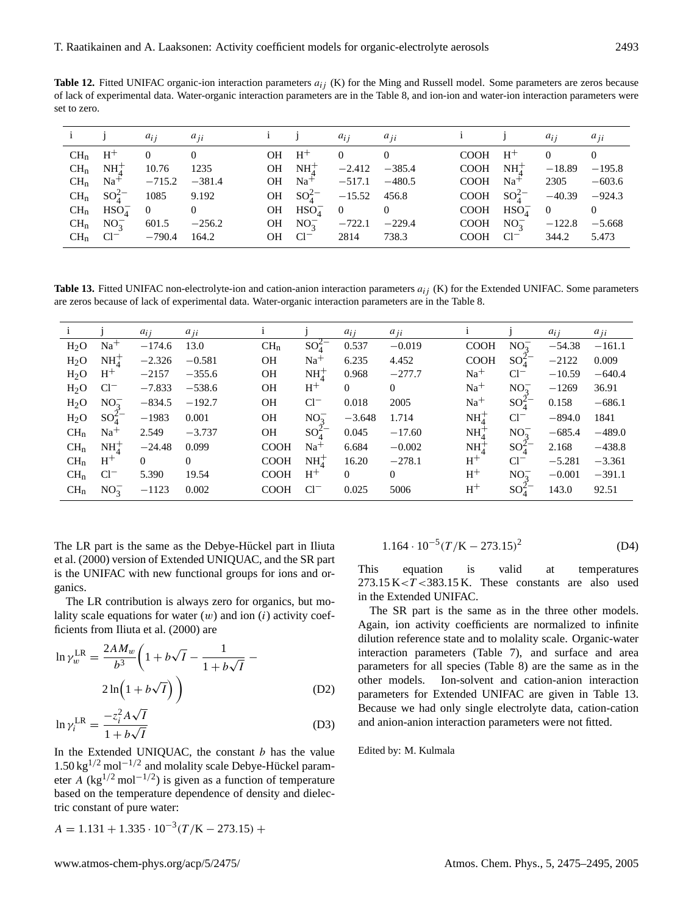<span id="page-18-0"></span>**Table 12.** Fitted UNIFAC organic-ion interaction parameters  $a_{ij}$  (K) for the Ming and Russell model. Some parameters are zeros because of lack of experimental data. Water-organic interaction parameters are in the Table [8,](#page-14-1) and ion-ion and water-ion interaction parameters were set to zero.

| $i \quad j$     |                    | $a_{ij}$            | $a_{ii}$ | $i \quad j$ |            | $a_{ij}$                             | $a_{ii}$ | $i \t J$    |                  | $a_{ij}$             | $a_{ji}$        |
|-----------------|--------------------|---------------------|----------|-------------|------------|--------------------------------------|----------|-------------|------------------|----------------------|-----------------|
| $CH_n$          | $\rm H^+$          | $0 \qquad \qquad 0$ |          |             | $OH$ $H^+$ | $0 \qquad \qquad 0$                  |          | COOH        | $\rm H^+$        | $\overline{0}$       | $\overline{0}$  |
|                 | $CH_n$ $NH_4^+$    | 10.76               | 1235     |             |            | OH NH <sub>4</sub> $-2.412$ $-385.4$ |          |             |                  | COOH $NH_4^+$ -18.89 | $-195.8$        |
| $CH_n$          | Na <sup>+</sup>    | $-715.2$            | $-381.4$ | OH.         | $Na^{+}$   | $-517.1 -480.5$                      |          |             | $COOH$ $Na+$     | 2305                 | $-603.6$        |
|                 | $CH_n$ $SO_4^{2-}$ | 1085 9.192          |          |             |            | OH $SO_4^{2-}$ -15.52 456.8          |          |             | COOH $SO_4^{2-}$ |                      | $-40.39 -924.3$ |
| CH <sub>n</sub> | HSO <sub>4</sub>   | $0 \qquad \qquad 0$ |          | OН          |            | $HSOA-$ 0 0                          |          | COOH        | $HSOA^-$         | $\overline{0}$       | $\overline{0}$  |
| $CH_n$          | $NO_3^-$           | 601.5               | $-256.2$ | OH.         | $NO_2^-$   | $-722.1 -229.4$                      |          | <b>COOH</b> |                  | $NO_3^-$ -122.8      | $-5.668$        |
|                 |                    | $CH_n$ $Cl^ -790.4$ | 164.2    | OН          | $Cl^-$     | 2814                                 | 738.3    |             | $COOH$ $Cl^-$    | 344.2                | 5.473           |

<span id="page-18-1"></span>**Table 13.** Fitted UNIFAC non-electrolyte-ion and cation-anion interaction parameters  $a_{ij}$  (K) for the Extended UNIFAC. Some parameters are zeros because of lack of experimental data. Water-organic interaction parameters are in the Table [8.](#page-14-1)

| 1                |                 | $a_{i,i}$      | $a_{ii}$ |                 |                 | $a_{i,i}$ | $a_{ii}$     |             |                 | $a_{i,i}$ | $a_{ii}$ |
|------------------|-----------------|----------------|----------|-----------------|-----------------|-----------|--------------|-------------|-----------------|-----------|----------|
| H <sub>2</sub> O | $Na+$           | $-174.6$       | 13.0     | CH <sub>n</sub> | $SO_4^{2-}$     | 0.537     | $-0.019$     | <b>COOH</b> | NO <sub>2</sub> | $-54.38$  | $-161.1$ |
| $H_2O$           | $NH4+$          | $-2.326$       | $-0.581$ | <b>OH</b>       | $Na+$           | 6.235     | 4.452        | <b>COOH</b> | $SO_4^2$        | $-2122$   | 0.009    |
| H <sub>2</sub> O | $H^+$           | $-2157$        | $-355.6$ | OН              | $NH4+$          | 0.968     | $-277.7$     | $Na+$       | $Cl^-$          | $-10.59$  | $-640.4$ |
| $H_2O$           | $Cl^-$          | $-7.833$       | $-538.6$ | <b>OH</b>       | $H^+$           | $\Omega$  | $\mathbf{0}$ | $Na+$       | NO <sub>2</sub> | $-1269$   | 36.91    |
| H <sub>2</sub> O | NO <sub>2</sub> | $-834.5$       | $-192.7$ | <b>OH</b>       | $Cl^-$          | 0.018     | 2005         | $Na+$       | $SO_4^2$        | 0.158     | $-686.1$ |
| $H_2O$           | $SO_4^2$        | $-1983$        | 0.001    | <b>OH</b>       | NO <sub>2</sub> | $-3.648$  | 1.714        | $NH4+$      | $Cl^-$          | $-894.0$  | 1841     |
| CH <sub>n</sub>  | $Na+$           | 2.549          | $-3.737$ | OН              | $SO_4^2$        | 0.045     | $-17.60$     | $NH4+$      | $NO_2^-$        | $-685.4$  | $-489.0$ |
| $CH_n$           | $NH4+$          | $-24.48$       | 0.099    | <b>COOH</b>     | $Na+$           | 6.684     | $-0.002$     | $NH+$       | SO <sub>4</sub> | 2.168     | $-438.8$ |
| $CH_n$           | $\rm H^+$       | $\overline{0}$ | $\theta$ | <b>COOH</b>     | $NH4+$          | 16.20     | $-278.1$     | $H^+$       | $Cl^{-}$        | $-5.281$  | $-3.361$ |
| CH <sub>n</sub>  | $Cl^-$          | 5.390          | 19.54    | <b>COOH</b>     | $\rm H^+$       | $\Omega$  | $\Omega$     | $H^+$       | $NO_2^-$        | $-0.001$  | $-391.1$ |
| $CH_n$           | $NO_2^-$        | $-1123$        | 0.002    | <b>COOH</b>     | $Cl^-$          | 0.025     | 5006         | $\rm H^+$   | $SO_4^2$        | 143.0     | 92.51    |

The LR part is the same as the Debye-Hückel part in [Iliuta](#page-20-13) [et al.](#page-20-13) [\(2000\)](#page-20-13) version of Extended UNIQUAC, and the SR part is the UNIFAC with new functional groups for ions and organics.

The LR contribution is always zero for organics, but molality scale equations for water  $(w)$  and ion  $(i)$  activity coefficients from [Iliuta et al.](#page-20-13) [\(2000\)](#page-20-13) are

$$
\ln \gamma_w^{\text{LR}} = \frac{2AM_w}{b^3} \left( 1 + b\sqrt{I} - \frac{1}{1 + b\sqrt{I}} - 2\ln\left(1 + b\sqrt{I}\right) \right)
$$
\n
$$
(D2)
$$

$$
\ln \gamma_i^{\text{LR}} = \frac{-z_i^2 A \sqrt{I}}{1 + b\sqrt{I}}
$$
 (D3)

In the Extended UNIQUAC, the constant  $b$  has the value 1.50 kg<sup>1/2</sup> mol<sup>-1/2</sup> and molality scale Debye-Hückel parameter A (kg<sup>1/2</sup> mol<sup>-1/2</sup>) is given as a function of temperature based on the temperature dependence of density and dielectric constant of pure water:

$$
A = 1.131 + 1.335 \cdot 10^{-3} (T/K - 273.15) +
$$

$$
1.164 \cdot 10^{-5} (T/K - 273.15)^2 \tag{D4}
$$

This equation is valid at temperatures  $273.15 K < T < 383.15 K$ . These constants are also used in the Extended UNIFAC.

The SR part is the same as in the three other models. Again, ion activity coefficients are normalized to infinite dilution reference state and to molality scale. Organic-water interaction parameters (Table [7\)](#page-14-0), and surface and area parameters for all species (Table [8\)](#page-14-1) are the same as in the other models. Ion-solvent and cation-anion interaction parameters for Extended UNIFAC are given in Table [13.](#page-18-1) Because we had only single electrolyte data, cation-cation and anion-anion interaction parameters were not fitted.

Edited by: M. Kulmala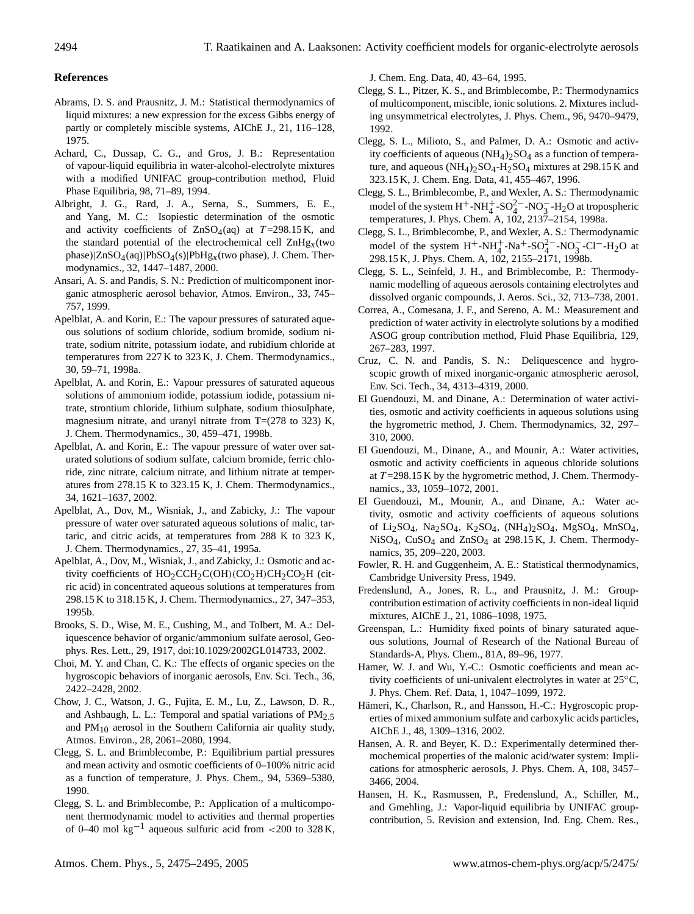# **References**

- <span id="page-19-2"></span>Abrams, D. S. and Prausnitz, J. M.: Statistical thermodynamics of liquid mixtures: a new expression for the excess Gibbs energy of partly or completely miscible systems, AIChE J., 21, 116–128, 1975.
- <span id="page-19-8"></span>Achard, C., Dussap, C. G., and Gros, J. B.: Representation of vapour-liquid equilibria in water-alcohol-electrolyte mixtures with a modified UNIFAC group-contribution method, Fluid Phase Equilibria, 98, 71–89, 1994.
- <span id="page-19-14"></span>Albright, J. G., Rard, J. A., Serna, S., Summers, E. E., and Yang, M. C.: Isopiestic determination of the osmotic and activity coefficients of  $ZnSO_4(aq)$  at  $T=298.15$  K, and the standard potential of the electrochemical cell  $\text{ZnHg}_{x}$ (two phase)|Zn $SO_4(aq)$ |Pb $SO_4(s)$ |PbHg<sub>x</sub>(two phase), J. Chem. Thermodynamics., 32, 1447–1487, 2000.
- <span id="page-19-5"></span>Ansari, A. S. and Pandis, S. N.: Prediction of multicomponent inorganic atmospheric aerosol behavior, Atmos. Environ., 33, 745– 757, 1999.
- <span id="page-19-19"></span>Apelblat, A. and Korin, E.: The vapour pressures of saturated aqueous solutions of sodium chloride, sodium bromide, sodium nitrate, sodium nitrite, potassium iodate, and rubidium chloride at temperatures from 227 K to 323 K, J. Chem. Thermodynamics., 30, 59–71, 1998a.
- <span id="page-19-20"></span>Apelblat, A. and Korin, E.: Vapour pressures of saturated aqueous solutions of ammonium iodide, potassium iodide, potassium nitrate, strontium chloride, lithium sulphate, sodium thiosulphate, magnesium nitrate, and uranyl nitrate from  $T=(278 \text{ to } 323) \text{ K}$ , J. Chem. Thermodynamics., 30, 459–471, 1998b.
- <span id="page-19-21"></span>Apelblat, A. and Korin, E.: The vapour pressure of water over saturated solutions of sodium sulfate, calcium bromide, ferric chloride, zinc nitrate, calcium nitrate, and lithium nitrate at temperatures from 278.15 K to 323.15 K, J. Chem. Thermodynamics., 34, 1621–1637, 2002.
- <span id="page-19-23"></span>Apelblat, A., Dov, M., Wisniak, J., and Zabicky, J.: The vapour pressure of water over saturated aqueous solutions of malic, tartaric, and citric acids, at temperatures from 288 K to 323 K, J. Chem. Thermodynamics., 27, 35–41, 1995a.
- <span id="page-19-24"></span>Apelblat, A., Dov, M., Wisniak, J., and Zabicky, J.: Osmotic and activity coefficients of  $HO_2CCH_2C(OH)(CO_2H)CH_2CO_2H$  (citric acid) in concentrated aqueous solutions at temperatures from 298.15 K to 318.15 K, J. Chem. Thermodynamics., 27, 347–353, 1995b.
- <span id="page-19-26"></span>Brooks, S. D., Wise, M. E., Cushing, M., and Tolbert, M. A.: Deliquescence behavior of organic/ammonium sulfate aerosol, Geophys. Res. Lett., 29, 1917, doi:10.1029/2002GL014733, 2002.
- <span id="page-19-25"></span>Choi, M. Y. and Chan, C. K.: The effects of organic species on the hygroscopic behaviors of inorganic aerosols, Env. Sci. Tech., 36, 2422–2428, 2002.
- <span id="page-19-0"></span>Chow, J. C., Watson, J. G., Fujita, E. M., Lu, Z., Lawson, D. R., and Ashbaugh, L. L.: Temporal and spatial variations of  $PM<sub>2.5</sub>$ and  $PM_{10}$  aerosol in the Southern California air quality study, Atmos. Environ., 28, 2061–2080, 1994.
- <span id="page-19-11"></span>Clegg, S. L. and Brimblecombe, P.: Equilibrium partial pressures and mean activity and osmotic coefficients of 0–100% nitric acid as a function of temperature, J. Phys. Chem., 94, 5369–5380, 1990.
- <span id="page-19-30"></span>Clegg, S. L. and Brimblecombe, P.: Application of a multicomponent thermodynamic model to activities and thermal properties of 0–40 mol kg<sup>-1</sup> aqueous sulfuric acid from <200 to 328 K,

J. Chem. Eng. Data, 40, 43–64, 1995.

- <span id="page-19-10"></span>Clegg, S. L., Pitzer, K. S., and Brimblecombe, P.: Thermodynamics of multicomponent, miscible, ionic solutions. 2. Mixtures including unsymmetrical electrolytes, J. Phys. Chem., 96, 9470–9479, 1992.
- <span id="page-19-13"></span>Clegg, S. L., Milioto, S., and Palmer, D. A.: Osmotic and activity coefficients of aqueous  $(NH_4)_2SO_4$  as a function of temperature, and aqueous  $(NH_4)$ <sub>2</sub>SO<sub>4</sub>-H<sub>2</sub>SO<sub>4</sub> mixtures at 298.15 K and 323.15 K, J. Chem. Eng. Data, 41, 455–467, 1996.
- <span id="page-19-3"></span>Clegg, S. L., Brimblecombe, P., and Wexler, A. S.: Thermodynamic model of the system  $H^+$ -NH<sup>+</sup>-SO<sub>4</sub><sup>2</sup>--NO<sub>2</sub><sup>-</sup>-H<sub>2</sub>O at tropospheric temperatures, J. Phys. Chem. A, 102, 2137–2154, 1998a.
- <span id="page-19-7"></span>Clegg, S. L., Brimblecombe, P., and Wexler, A. S.: Thermodynamic model of the system  $H^+$ -NH<sup>+</sup><sub>4</sub>-Na<sup>+</sup>-SO<sup>2</sup><sub>4</sub>--NO<sub>3</sub>-Cl<sup>-</sup>-H<sub>2</sub>O at  $298.15$  K, J. Phys. Chem. A, 102, 2155–2171, 1998b.
- <span id="page-19-4"></span>Clegg, S. L., Seinfeld, J. H., and Brimblecombe, P.: Thermodynamic modelling of aqueous aerosols containing electrolytes and dissolved organic compounds, J. Aeros. Sci., 32, 713–738, 2001.
- <span id="page-19-16"></span>Correa, A., Comesana, J. F., and Sereno, A. M.: Measurement and prediction of water activity in electrolyte solutions by a modified ASOG group contribution method, Fluid Phase Equilibria, 129, 267–283, 1997.
- <span id="page-19-29"></span>Cruz, C. N. and Pandis, S. N.: Deliquescence and hygroscopic growth of mixed inorganic-organic atmospheric aerosol, Env. Sci. Tech., 34, 4313–4319, 2000.
- <span id="page-19-17"></span>El Guendouzi, M. and Dinane, A.: Determination of water activities, osmotic and activity coefficients in aqueous solutions using the hygrometric method, J. Chem. Thermodynamics, 32, 297– 310, 2000.
- <span id="page-19-18"></span>El Guendouzi, M., Dinane, A., and Mounir, A.: Water activities, osmotic and activity coefficients in aqueous chloride solutions at  $T = 298.15$  K by the hygrometric method, J. Chem. Thermodynamics., 33, 1059–1072, 2001.
- <span id="page-19-15"></span>El Guendouzi, M., Mounir, A., and Dinane, A.: Water activity, osmotic and activity coefficients of aqueous solutions of Li<sub>2</sub>SO<sub>4</sub>, Na<sub>2</sub>SO<sub>4</sub>, K<sub>2</sub>SO<sub>4</sub>, (NH<sub>4</sub>)<sub>2</sub>SO<sub>4</sub>, MgSO<sub>4</sub>, MnSO<sub>4</sub>, NiSO4, CuSO4 and ZnSO4 at 298.15 K, J. Chem. Thermodynamics, 35, 209–220, 2003.
- <span id="page-19-9"></span>Fowler, R. H. and Guggenheim, A. E.: Statistical thermodynamics, Cambridge University Press, 1949.
- <span id="page-19-1"></span>Fredenslund, A., Jones, R. L., and Prausnitz, J. M.: Groupcontribution estimation of activity coefficients in non-ideal liquid mixtures, AIChE J., 21, 1086–1098, 1975.
- <span id="page-19-22"></span>Greenspan, L.: Humidity fixed points of binary saturated aqueous solutions, Journal of Research of the National Bureau of Standards-A, Phys. Chem., 81A, 89–96, 1977.
- <span id="page-19-12"></span>Hamer, W. J. and Wu, Y.-C.: Osmotic coefficients and mean activity coefficients of uni-univalent electrolytes in water at 25◦C, J. Phys. Chem. Ref. Data, 1, 1047–1099, 1972.
- <span id="page-19-28"></span>Hämeri, K., Charlson, R., and Hansson, H.-C.: Hygroscopic properties of mixed ammonium sulfate and carboxylic acids particles, AIChE J., 48, 1309–1316, 2002.
- <span id="page-19-6"></span>Hansen, A. R. and Beyer, K. D.: Experimentally determined thermochemical properties of the malonic acid/water system: Implications for atmospheric aerosols, J. Phys. Chem. A, 108, 3457– 3466, 2004.
- <span id="page-19-27"></span>Hansen, H. K., Rasmussen, P., Fredenslund, A., Schiller, M., and Gmehling, J.: Vapor-liquid equilibria by UNIFAC groupcontribution, 5. Revision and extension, Ind. Eng. Chem. Res.,